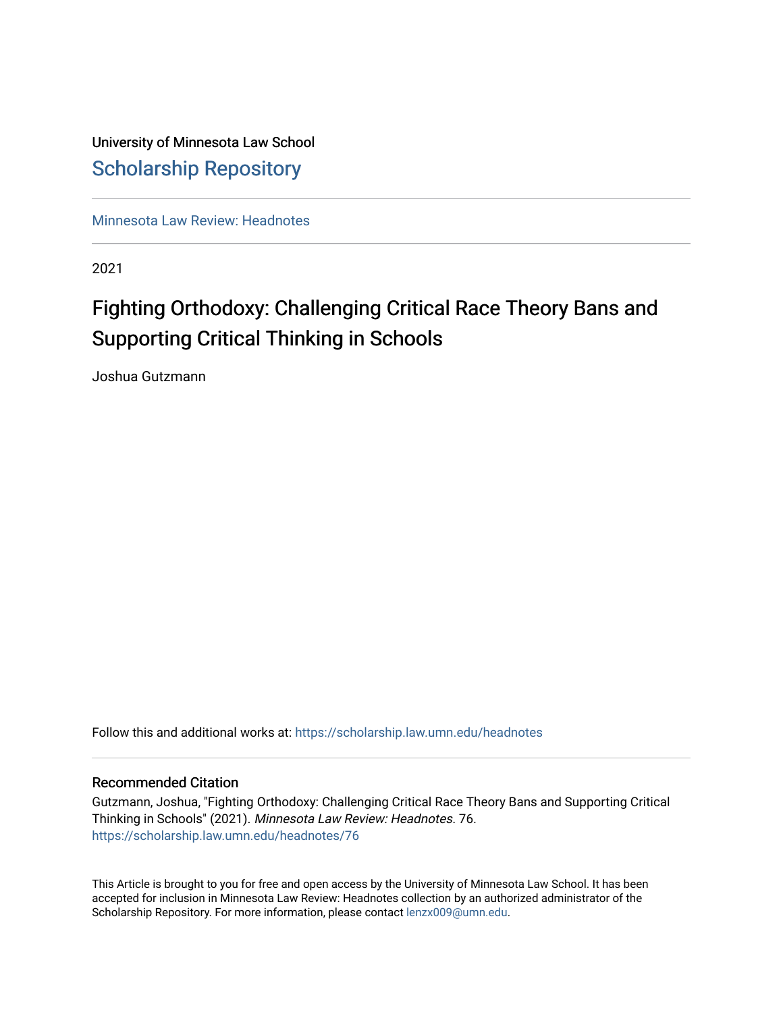## University of Minnesota Law School [Scholarship Repository](https://scholarship.law.umn.edu/)

[Minnesota Law Review: Headnotes](https://scholarship.law.umn.edu/headnotes) 

2021

# Fighting Orthodoxy: Challenging Critical Race Theory Bans and Supporting Critical Thinking in Schools

Joshua Gutzmann

Follow this and additional works at: [https://scholarship.law.umn.edu/headnotes](https://scholarship.law.umn.edu/headnotes?utm_source=scholarship.law.umn.edu%2Fheadnotes%2F76&utm_medium=PDF&utm_campaign=PDFCoverPages) 

### Recommended Citation

Gutzmann, Joshua, "Fighting Orthodoxy: Challenging Critical Race Theory Bans and Supporting Critical Thinking in Schools" (2021). Minnesota Law Review: Headnotes. 76. [https://scholarship.law.umn.edu/headnotes/76](https://scholarship.law.umn.edu/headnotes/76?utm_source=scholarship.law.umn.edu%2Fheadnotes%2F76&utm_medium=PDF&utm_campaign=PDFCoverPages)

This Article is brought to you for free and open access by the University of Minnesota Law School. It has been accepted for inclusion in Minnesota Law Review: Headnotes collection by an authorized administrator of the Scholarship Repository. For more information, please contact [lenzx009@umn.edu.](mailto:lenzx009@umn.edu)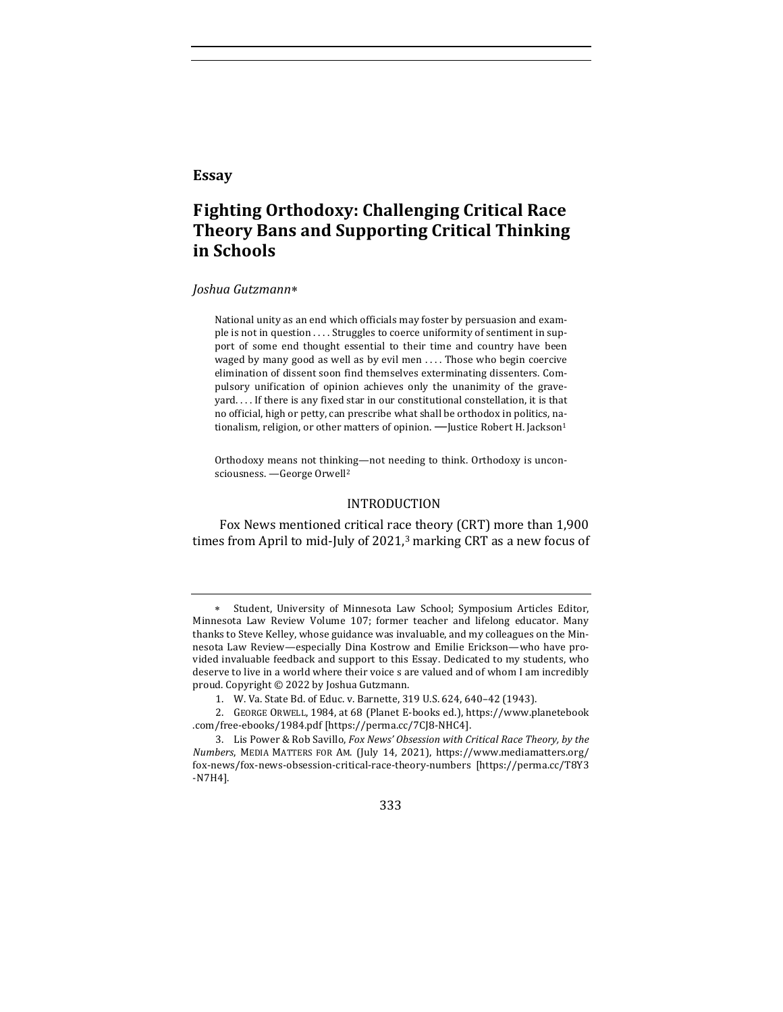#### **Essay**

### **F ighting Orthodoxy: Challenging Critical Race Theory Bans and Supporting Critical Thinking in Schools**

#### *Joshua Gutzmann*\*

National unity as an end which officials may foster by persuasion and example is not in question .... Struggles to coerce uniformity of sentiment in support of some end thought essential to their time and country have been waged by many good as well as by evil men  $\dots$ . Those who begin coercive elimination of dissent soon find themselves exterminating dissenters. Compulsory unification of opinion achieves only the unanimity of the graveyard.... If there is any fixed star in our constitutional constellation, it is that no official, high or petty, can prescribe what shall be orthodox in politics, nationalism, religion, or other matters of opinion. - Justice Robert H. Jackson<sup>1</sup>

Orthodoxy means not thinking—not needing to think. Orthodoxy is unconsciousness. - George Orwell<sup>2</sup>

#### INTRODUCTION

Fox News mentioned critical race theory (CRT) more than 1,900 times from April to mid-July of  $2021$ ,<sup>3</sup> marking CRT as a new focus of

<sup>3.</sup> Lis Power & Rob Savillo, *Fox News' Obsession with Critical Race Theory, by the Numbers*, MEDIA MATTERS FOR AM. (July 14, 2021), https://www.mediamatters.org/ fox-news/fox-news-obsession-critical-race-theory-numbers [https://perma.cc/T8Y3 -N7H4].



<sup>\*</sup> Student, University of Minnesota Law School; Symposium Articles Editor, Minnesota Law Review Volume 107; former teacher and lifelong educator. Many thanks to Steve Kelley, whose guidance was invaluable, and my colleagues on the Minnesota Law Review—especially Dina Kostrow and Emilie Erickson—who have provided invaluable feedback and support to this Essay. Dedicated to my students, who deserve to live in a world where their voice s are valued and of whom I am incredibly proud. Copyright  $\odot$  2022 by Joshua Gutzmann.

<sup>1.</sup> W. Va. State Bd. of Educ. v. Barnette, 319 U.S. 624, 640-42 (1943).

<sup>2.</sup> GEORGE ORWELL, 1984, at 68 (Planet E-books ed.), https://www.planetebook .com/free-ebooks/1984.pdf [https://perma.cc/7CJ8-NHC4].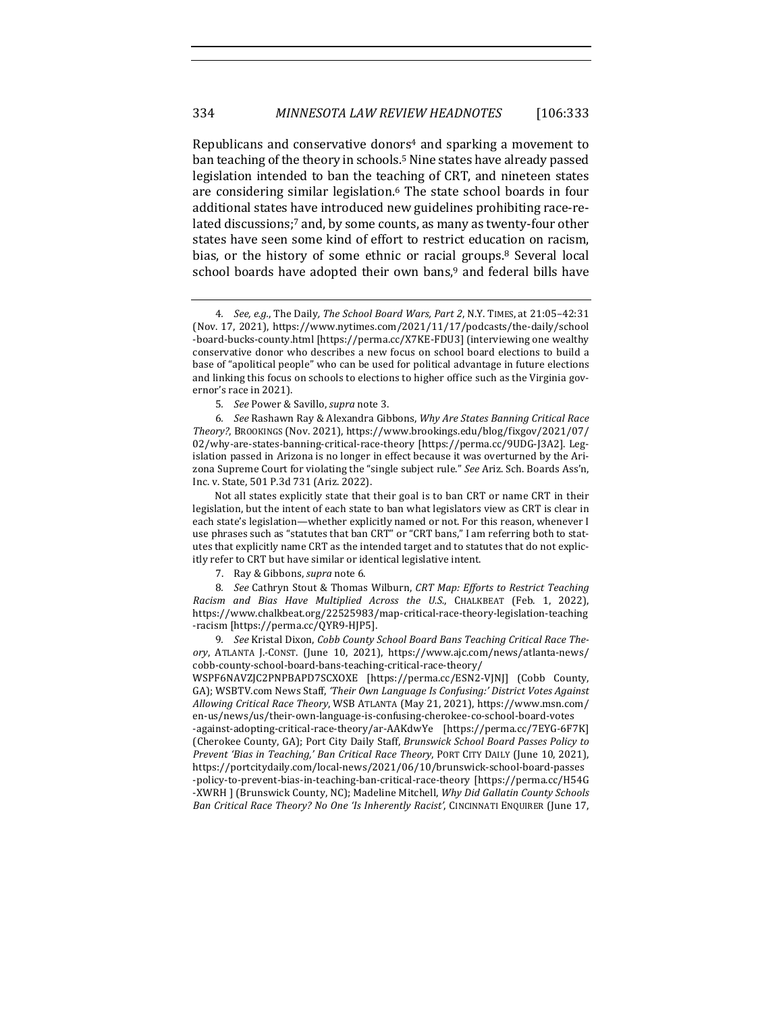Republicans and conservative donors<sup>4</sup> and sparking a movement to ban teaching of the theory in schools.<sup>5</sup> Nine states have already passed legislation intended to ban the teaching of CRT, and nineteen states are considering similar legislation.<sup>6</sup> The state school boards in four additional states have introduced new guidelines prohibiting race-related discussions;7 and, by some counts, as many as twenty-four other states have seen some kind of effort to restrict education on racism, bias, or the history of some ethnic or racial groups.<sup>8</sup> Several local school boards have adopted their own bans,<sup>9</sup> and federal bills have

Not all states explicitly state that their goal is to ban CRT or name CRT in their legislation, but the intent of each state to ban what legislators view as CRT is clear in each state's legislation—whether explicitly named or not. For this reason, whenever I use phrases such as "statutes that ban CRT" or "CRT bans," I am referring both to statutes that explicitly name CRT as the intended target and to statutes that do not explicitly refer to CRT but have similar or identical legislative intent.

7. Ray & Gibbons, *supra* note 6.

8. See Cathryn Stout & Thomas Wilburn, CRT Map: Efforts to Restrict Teaching *Racism and Bias Have Multiplied Across the U.S.*, CHALKBEAT (Feb. 1, 2022), https://www.chalkbeat.org/22525983/map-critical-race-theory-legislation-teaching -racism [https://perma.cc/QYR9-HJP5].

9. See Kristal Dixon, Cobb County School Board Bans Teaching Critical Race The*ory*, ATLANTA J.-CONST. (June 10, 2021), https://www.ajc.com/news/atlanta-news/ cobb-county-school-board-bans-teaching-critical-race-theory/

WSPF6NAVZJC2PNPBAPD7SCXOXE [https://perma.cc/ESN2-VJNJ] (Cobb County, GA); WSBTV.com News Staff, 'Their Own Language Is Confusing:' District Votes Against *Allowing Critical Race Theory*, WSB ATLANTA (May 21, 2021), https://www.msn.com/ en-us/news/us/their-own-language-is-confusing-cherokee-co-school-board-votes

-against-adopting-critical-race-theory/ar-AAKdwYe [https://perma.cc/7EYG-6F7K] (Cherokee County, GA); Port City Daily Staff, *Brunswick School Board Passes Policy to Prevent 'Bias in Teaching,' Ban Critical Race Theory, PORT CITY DAILY (June 10, 2021),* https://portcitydaily.com/local-news/2021/06/10/brunswick-school-board-passes -policy-to-prevent-bias-in-teaching-ban-critical-race-theory [https://perma.cc/H54G -XWRH ] (Brunswick County, NC); Madeline Mitchell, *Why Did Gallatin County Schools Ban Critical Race Theory? No One 'Is Inherently Racist'*, CINCINNATI ENQUIRER (June 17,

<sup>4</sup>*. See, e.g.*, The Daily*, The School Board Wars, Part 2*, N.Y. TIMES, at 21:05–42:31 (Nov. 17, 2021), https://www.nytimes.com/2021/11/17/podcasts/the-daily/school -board-bucks-county.html [https://perma.cc/X7KE-FDU3] (interviewing one wealthy conservative donor who describes a new focus on school board elections to build a base of "apolitical people" who can be used for political advantage in future elections and linking this focus on schools to elections to higher office such as the Virginia governor's race in 2021).

<sup>5</sup>*. See* Power & Savillo, *supra* note 3.

<sup>6</sup>*. See* Rashawn Ray & Alexandra Gibbons, *Why Are States Banning Critical Race Theory?*, BROOKINGS (Nov. 2021), https://www.brookings.edu/blog/f ixgov/2021/07/ 02/why-are-states-banning-critical-race-theory [https://perma.cc/9UDG-J3A2]. Legislation passed in Arizona is no longer in effect because it was overturned by the Arizona Supreme Court for violating the "single subject rule." See Ariz. Sch. Boards Ass'n, Inc. v. State, 501 P.3d 731 (Ariz. 2022).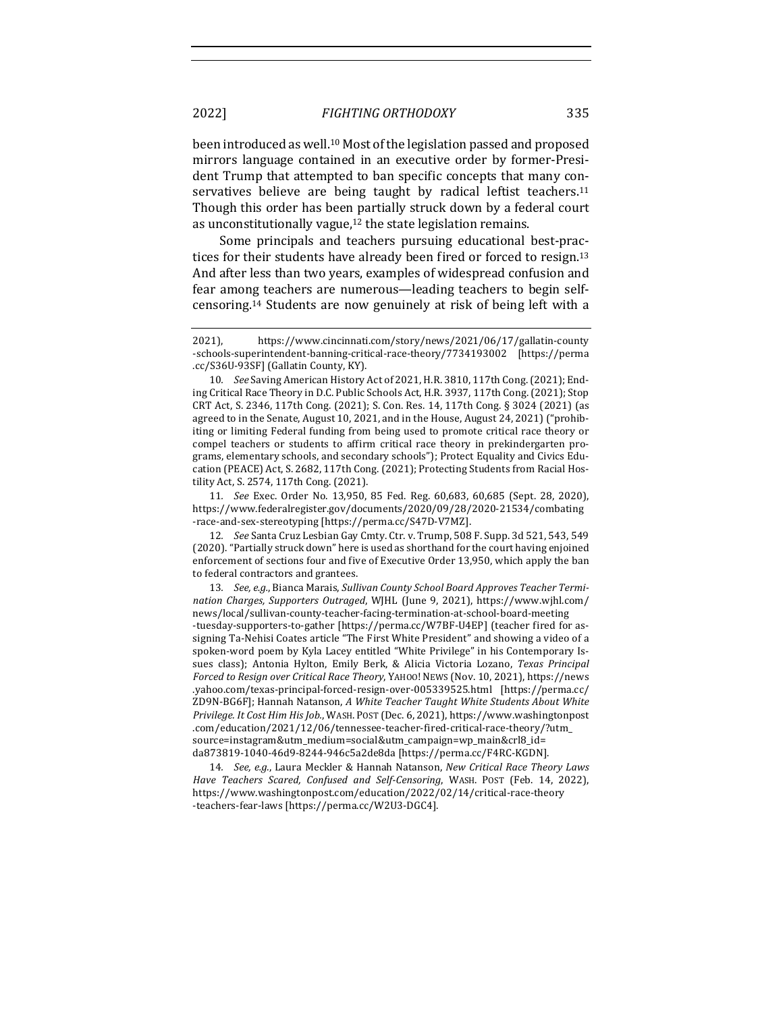been introduced as well.<sup>10</sup> Most of the legislation passed and proposed mirrors language contained in an executive order by former-President Trump that attempted to ban specific concepts that many conservatives believe are being taught by radical leftist teachers.<sup>11</sup> Though this order has been partially struck down by a federal court as unconstitutionally vague, $12$  the state legislation remains.

Some principals and teachers pursuing educational best-practices for their students have already been fired or forced to resign.<sup>13</sup> And after less than two years, examples of widespread confusion and fear among teachers are numerous—leading teachers to begin selfcensoring.<sup>14</sup> Students are now genuinely at risk of being left with a

11*. See* Exec. Order No. 13,950, 85 Fed. Reg. 60,683, 60,685 (Sept. 28, 2020), https://www.federalregister.gov/documents/2020/09/28/2020-21534/combating -race-and-sex-stereotyping [https://perma.cc/S47D-V7MZ]. 

12. *See* Santa Cruz Lesbian Gay Cmty. Ctr. v. Trump, 508 F. Supp. 3d 521, 543, 549 (2020). "Partially struck down" here is used as shorthand for the court having enjoined enforcement of sections four and five of Executive Order 13,950, which apply the ban to federal contractors and grantees.

13. See, e.g., Bianca Marais, Sullivan County School Board Approves Teacher Termi*nation Charges, Supporters Outraged*, WJHL (June 9, 2021), https://www.wjhl.com/ news/local/sullivan-county-teacher-facing-termination-at-school-board-meeting -tuesday-supporters-to-gather [https://perma.cc/W7BF-U4EP] (teacher fired for assigning Ta-Nehisi Coates article "The First White President" and showing a video of a spoken-word poem by Kyla Lacey entitled "White Privilege" in his Contemporary Issues class); Antonia Hylton, Emily Berk, & Alicia Victoria Lozano, *Texas Principal Forced to Resign over Critical Race Theory*, YAHOO! NEWS (Nov. 10, 2021), https://news .yahoo.com/texas-principal-forced-resign-over-005339525.html [https://perma.cc/ ZD9N-BG6F]; Hannah Natanson, A White Teacher Taught White Students About White *Privilege. It Cost Him His Job.*, WASH. POST (Dec. 6, 2021), https://www.washingtonpost .com/education/2021/12/06/tennessee-teacher-f ired-critical-race-theory/?utm\_ source=instagram&utm\_medium=social&utm\_campaign=wp\_main&crl8\_id= da873819-1040-46d9-8244-946c5a2de8da [https://perma.cc/F4RC-KGDN].

14. *See, e.g.*, Laura Meckler & Hannah Natanson, *New Critical Race Theory Laws* Have Teachers Scared, Confused and Self-Censoring, WASH. POST (Feb. 14, 2022), https://www.washingtonpost.com/education/2022/02/14/critical-race-theory -teachers-fear-laws [https://perma.cc/W2U3-DGC4].

<sup>2021),</sup> https://www.cincinnati.com/story/news/2021/06/17/gallatin-county -schools-superintendent-banning-critical-race-theory/7734193002 [https://perma .cc/S36U-93SF] (Gallatin County, KY).

<sup>10.</sup> See Saving American History Act of 2021, H.R. 3810, 117th Cong. (2021); Ending Critical Race Theory in D.C. Public Schools Act, H.R. 3937, 117th Cong. (2021); Stop CRT Act, S. 2346, 117th Cong. (2021); S. Con. Res. 14, 117th Cong. § 3024 (2021) (as agreed to in the Senate, August  $10, 2021$ , and in the House, August  $24, 2021$  ("prohibiting or limiting Federal funding from being used to promote critical race theory or compel teachers or students to affirm critical race theory in prekindergarten programs, elementary schools, and secondary schools"); Protect Equality and Civics Education (PEACE) Act, S. 2682, 117th Cong. (2021); Protecting Students from Racial Hostility Act, S. 2574, 117th Cong. (2021).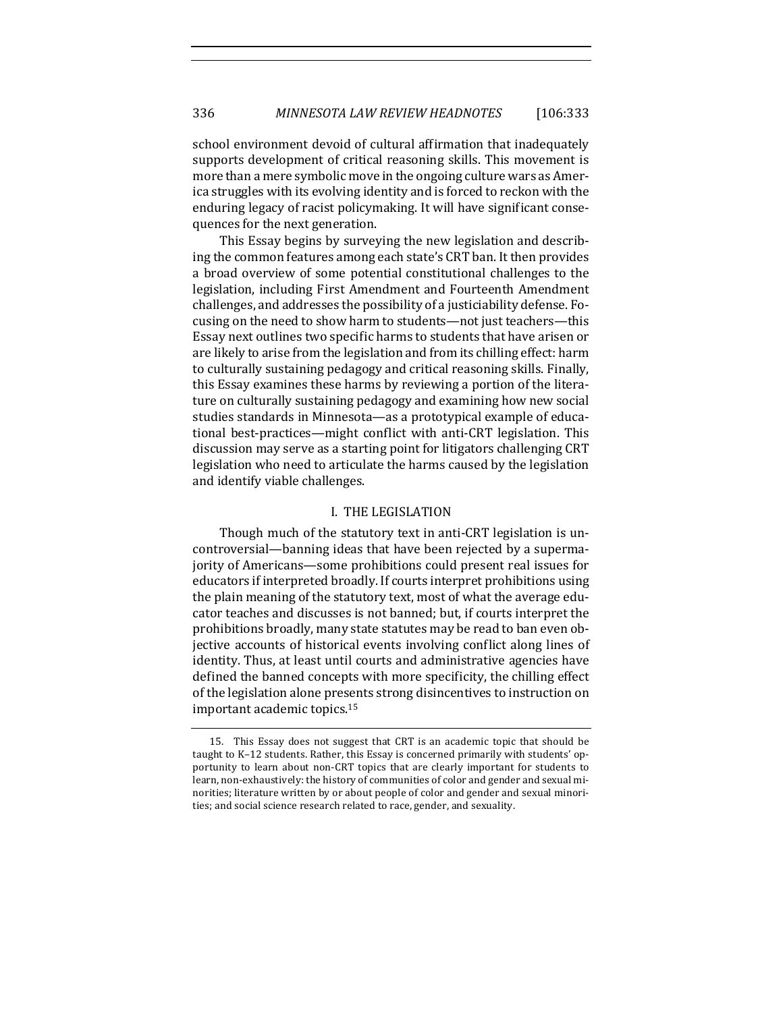school environment devoid of cultural affirmation that inadequately supports development of critical reasoning skills. This movement is more than a mere symbolic move in the ongoing culture wars as America struggles with its evolving identity and is forced to reckon with the enduring legacy of racist policymaking. It will have significant consequences for the next generation.

This Essay begins by surveying the new legislation and describing the common features among each state's CRT ban. It then provides a broad overview of some potential constitutional challenges to the legislation, including First Amendment and Fourteenth Amendment challenges, and addresses the possibility of a justiciability defense. Focusing on the need to show harm to students—not just teachers—this Essay next outlines two specific harms to students that have arisen or are likely to arise from the legislation and from its chilling effect: harm to culturally sustaining pedagogy and critical reasoning skills. Finally, this Essay examines these harms by reviewing a portion of the literature on culturally sustaining pedagogy and examining how new social studies standards in Minnesota—as a prototypical example of educational best-practices—might conflict with anti-CRT legislation. This discussion may serve as a starting point for litigators challenging CRT legislation who need to articulate the harms caused by the legislation and identify viable challenges.

#### I. THE LEGISLATION

Though much of the statutory text in anti-CRT legislation is uncontroversial—banning ideas that have been rejected by a supermajority of Americans-some prohibitions could present real issues for educators if interpreted broadly. If courts interpret prohibitions using the plain meaning of the statutory text, most of what the average educator teaches and discusses is not banned; but, if courts interpret the prohibitions broadly, many state statutes may be read to ban even objective accounts of historical events involving conflict along lines of identity. Thus, at least until courts and administrative agencies have defined the banned concepts with more specificity, the chilling effect of the legislation alone presents strong disincentives to instruction on important academic topics.<sup>15</sup>

<sup>15.</sup> This Essay does not suggest that CRT is an academic topic that should be taught to K-12 students. Rather, this Essay is concerned primarily with students' opportunity to learn about non-CRT topics that are clearly important for students to learn, non-exhaustively: the history of communities of color and gender and sexual minorities; literature written by or about people of color and gender and sexual minorities; and social science research related to race, gender, and sexuality.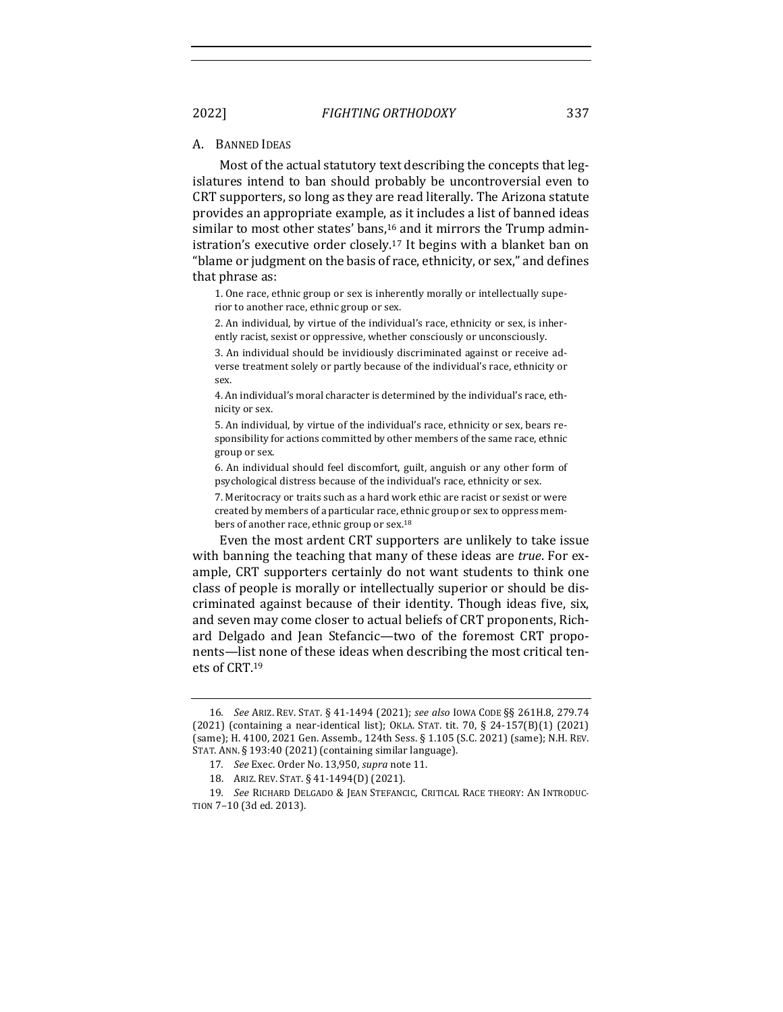#### A. BANNED IDEAS

Most of the actual statutory text describing the concepts that legislatures intend to ban should probably be uncontroversial even to CRT supporters, so long as they are read literally. The Arizona statute provides an appropriate example, as it includes a list of banned ideas similar to most other states' bans, $16$  and it mirrors the Trump administration's executive order closely.<sup>17</sup> It begins with a blanket ban on "blame or judgment on the basis of race, ethnicity, or sex," and defines that phrase as:

1. One race, ethnic group or sex is inherently morally or intellectually superior to another race, ethnic group or sex.

2. An individual, by virtue of the individual's race, ethnicity or sex, is inherently racist, sexist or oppressive, whether consciously or unconsciously.

3. An individual should be invidiously discriminated against or receive adverse treatment solely or partly because of the individual's race, ethnicity or sex.

4. An individual's moral character is determined by the individual's race, ethnicity or sex.

5. An individual, by virtue of the individual's race, ethnicity or sex, bears responsibility for actions committed by other members of the same race, ethnic group or sex.

6. An individual should feel discomfort, guilt, anguish or any other form of psychological distress because of the individual's race, ethnicity or sex.

7. Meritocracy or traits such as a hard work ethic are racist or sexist or were created by members of a particular race, ethnic group or sex to oppress members of another race, ethnic group or sex.<sup>18</sup>

Even the most ardent CRT supporters are unlikely to take issue with banning the teaching that many of these ideas are *true*. For example, CRT supporters certainly do not want students to think one class of people is morally or intellectually superior or should be discriminated against because of their identity. Though ideas five, six, and seven may come closer to actual beliefs of CRT proponents, Richard Delgado and Jean Stefancic—two of the foremost CRT proponents—list none of these ideas when describing the most critical tenets of CRT.19

<sup>16</sup>*. See* ARIZ. REV. STAT. § 41-1494 (2021); *see also* IOWA CODE §§ 261H.8, 279.74  $(2021)$  (containing a near-identical list); OKLA. STAT. tit. 70, § 24-157(B)(1) (2021) (same); H. 4100, 2021 Gen. Assemb., 124th Sess. § 1.105 (S.C. 2021) (same); N.H. REV. STAT. ANN. § 193:40 (2021) (containing similar language).

<sup>17</sup>*. See* Exec. Order No. 13,950, *supra* note 11.

<sup>18.</sup> ARIZ. REV. STAT. § 41-1494(D) (2021).

<sup>19.</sup> See RICHARD DELGADO & JEAN STEFANCIC, CRITICAL RACE THEORY: AN INTRODUC-TION 7-10 (3d ed. 2013).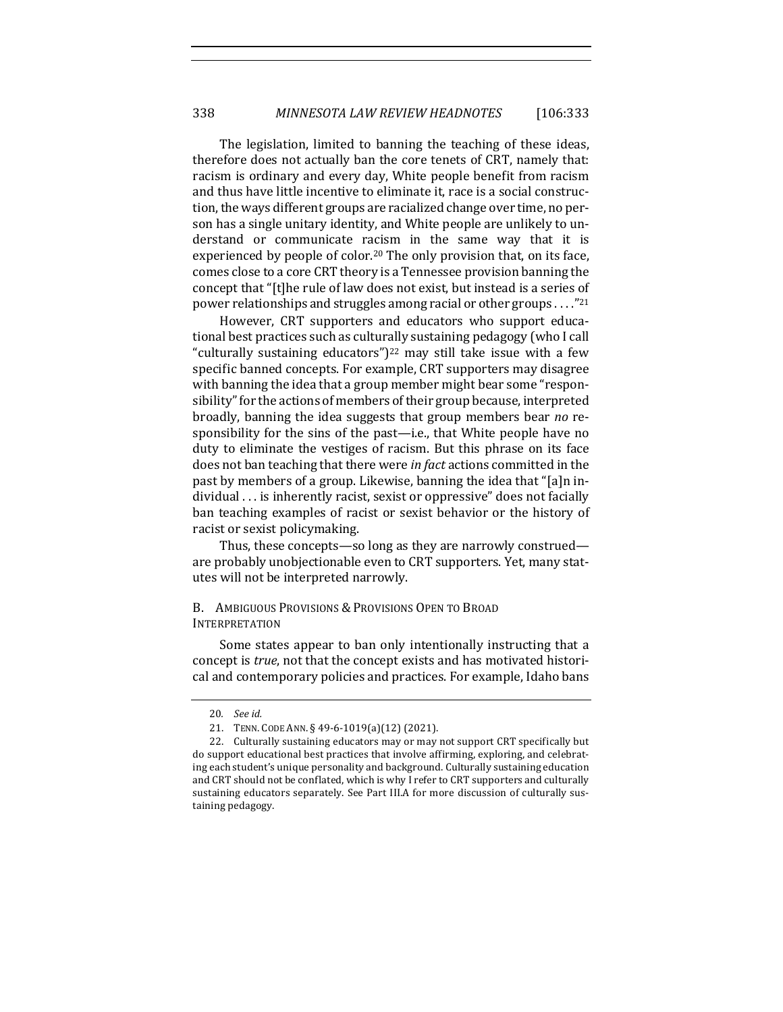The legislation, limited to banning the teaching of these ideas, therefore does not actually ban the core tenets of CRT, namely that: racism is ordinary and every day, White people benefit from racism and thus have little incentive to eliminate it, race is a social construction, the ways different groups are racialized change over time, no person has a single unitary identity, and White people are unlikely to understand or communicate racism in the same way that it is experienced by people of color.<sup>20</sup> The only provision that, on its face, comes close to a core CRT theory is a Tennessee provision banning the concept that "[t]he rule of law does not exist, but instead is a series of power relationships and struggles among racial or other groups . . . . "21

However, CRT supporters and educators who support educational best practices such as culturally sustaining pedagogy (who I call "culturally sustaining educators")<sup>22</sup> may still take issue with a few specific banned concepts. For example, CRT supporters may disagree with banning the idea that a group member might bear some "responsibility" for the actions of members of their group because, interpreted broadly, banning the idea suggests that group members bear *no* responsibility for the sins of the past—i.e., that White people have no duty to eliminate the vestiges of racism. But this phrase on its face does not ban teaching that there were *in fact* actions committed in the past by members of a group. Likewise, banning the idea that "[a]n individual . . . is inherently racist, sexist or oppressive" does not facially ban teaching examples of racist or sexist behavior or the history of racist or sexist policymaking.

Thus, these concepts—so long as they are narrowly construed are probably unobjectionable even to CRT supporters. Yet, many statutes will not be interpreted narrowly.

#### B. AMBIGUOUS PROVISIONS & PROVISIONS OPEN TO BROAD INTERPRETATION

Some states appear to ban only intentionally instructing that a concept is *true*, not that the concept exists and has motivated historical and contemporary policies and practices. For example, Idaho bans

<sup>20</sup>*. See id.*

<sup>21.</sup> TENN. CODE ANN. § 49-6-1019(a)(12) (2021).

<sup>22.</sup> Culturally sustaining educators may or may not support CRT specifically but do support educational best practices that involve affirming, exploring, and celebrating each student's unique personality and background. Culturally sustaining education and CRT should not be conflated, which is why I refer to CRT supporters and culturally sustaining educators separately. See Part III.A for more discussion of culturally sustaining pedagogy.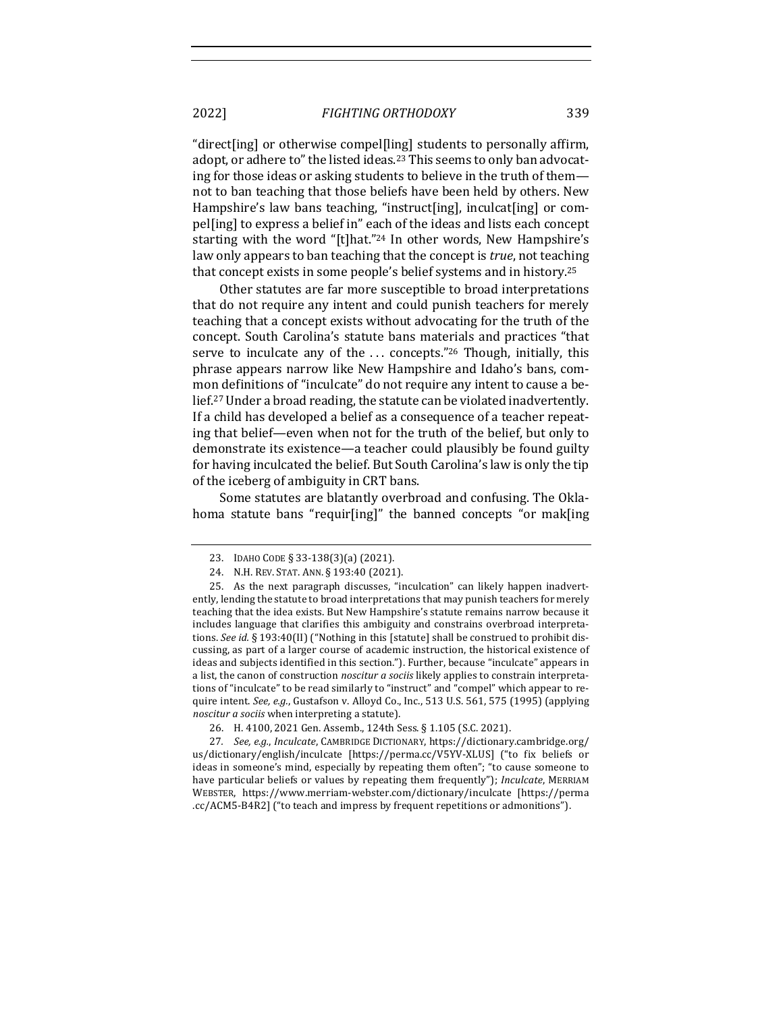"direct[ing] or otherwise compel[ling] students to personally affirm, adopt, or adhere to" the listed ideas.<sup>23</sup> This seems to only ban advocating for those ideas or asking students to believe in the truth of themnot to ban teaching that those beliefs have been held by others. New Hampshire's law bans teaching, "instruct[ing], inculcat[ing] or compel[ing] to express a belief in" each of the ideas and lists each concept starting with the word "[t]hat."<sup>24</sup> In other words, New Hampshire's law only appears to ban teaching that the concept is *true*, not teaching that concept exists in some people's belief systems and in history.<sup>25</sup>

Other statutes are far more susceptible to broad interpretations that do not require any intent and could punish teachers for merely teaching that a concept exists without advocating for the truth of the concept. South Carolina's statute bans materials and practices "that serve to inculcate any of the  $\ldots$  concepts."<sup>26</sup> Though, initially, this phrase appears narrow like New Hampshire and Idaho's bans, common definitions of "inculcate" do not require any intent to cause a belief.<sup>27</sup> Under a broad reading, the statute can be violated inadvertently. If a child has developed a belief as a consequence of a teacher repeating that belief—even when not for the truth of the belief, but only to demonstrate its existence—a teacher could plausibly be found guilty for having inculcated the belief. But South Carolina's law is only the tip of the iceberg of ambiguity in CRT bans.

Some statutes are blatantly overbroad and confusing. The Oklahoma statute bans "requir[ing]" the banned concepts "or mak[ing

<sup>23.</sup> IDAHO CODE § 33-138(3)(a) (2021).

<sup>24.</sup> N.H. REV. STAT. ANN. § 193:40 (2021).

<sup>25.</sup> As the next paragraph discusses, "inculcation" can likely happen inadvertently, lending the statute to broad interpretations that may punish teachers for merely teaching that the idea exists. But New Hampshire's statute remains narrow because it includes language that clarifies this ambiguity and constrains overbroad interpretations. *See id.* § 193:40(II) ("Nothing in this [statute] shall be construed to prohibit discussing, as part of a larger course of academic instruction, the historical existence of ideas and subjects identified in this section."). Further, because "inculcate" appears in a list, the canon of construction *noscitur a sociis* likely applies to constrain interpretations of "inculcate" to be read similarly to "instruct" and "compel" which appear to require intent. See, e.g., Gustafson v. Alloyd Co., Inc., 513 U.S. 561, 575 (1995) (applying *noscitur a sociis* when interpreting a statute).

<sup>26.</sup> H. 4100, 2021 Gen. Assemb., 124th Sess. § 1.105 (S.C. 2021).

<sup>27</sup>*. See, e.g., Inculcate,* CAMBRIDGE DICTIONARY, https://dictionary.cambridge.org/ us/dictionary/english/inculcate [https://perma.cc/V5YV-XLUS] ("to fix beliefs or ideas in someone's mind, especially by repeating them often"; "to cause someone to have particular beliefs or values by repeating them frequently"); *Inculcate*, MERRIAM WEBSTER, https://www.merriam-webster.com/dictionary/inculcate [https://perma .cc/ACM5-B4R2] ("to teach and impress by frequent repetitions or admonitions").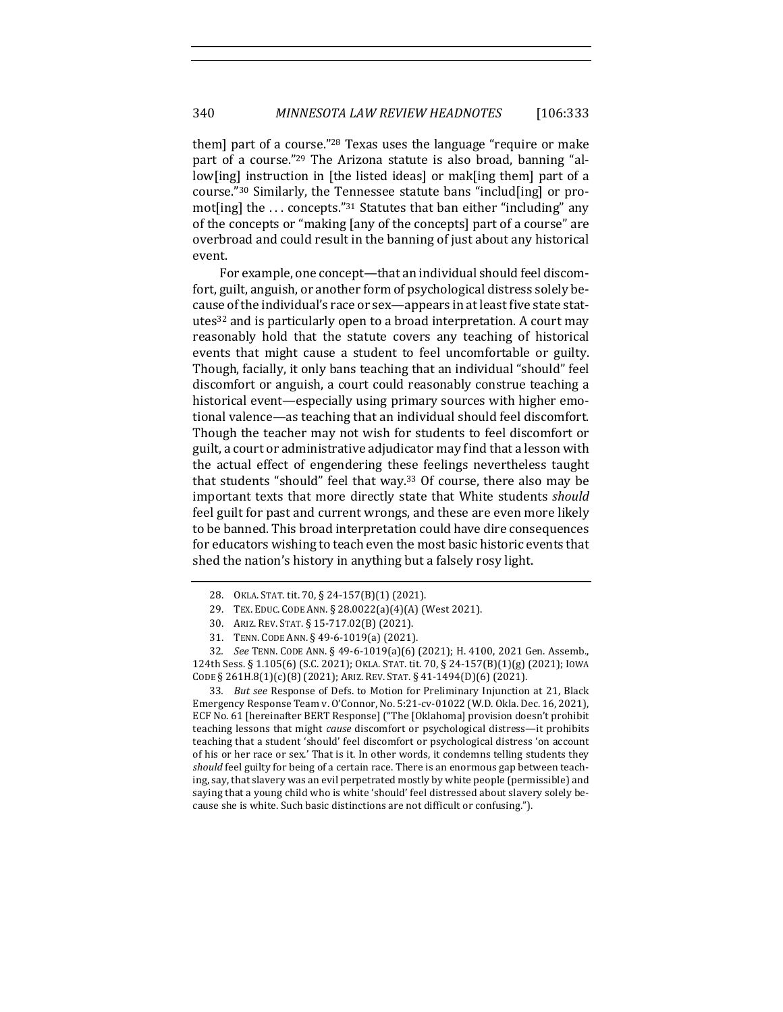them] part of a course."<sup>28</sup> Texas uses the language "require or make part of a course."<sup>29</sup> The Arizona statute is also broad, banning "allow[ing] instruction in [the listed ideas] or mak[ing them] part of a course."<sup>30</sup> Similarly, the Tennessee statute bans "includ [ing] or promot[ing] the  $\ldots$  concepts."<sup>31</sup> Statutes that ban either "including" any of the concepts or "making [any of the concepts] part of a course" are overbroad and could result in the banning of just about any historical event.

For example, one concept—that an individual should feel discomfort, guilt, anguish, or another form of psychological distress solely because of the individual's race or sex—appears in at least five state statutes<sup>32</sup> and is particularly open to a broad interpretation. A court may reasonably hold that the statute covers any teaching of historical events that might cause a student to feel uncomfortable or guilty. Though, facially, it only bans teaching that an individual "should" feel discomfort or anguish, a court could reasonably construe teaching a historical event—especially using primary sources with higher emotional valence—as teaching that an individual should feel discomfort. Though the teacher may not wish for students to feel discomfort or guilt, a court or administrative adjudicator may find that a lesson with the actual effect of engendering these feelings nevertheless taught that students "should" feel that way.<sup>33</sup> Of course, there also may be important texts that more directly state that White students *should* feel guilt for past and current wrongs, and these are even more likely to be banned. This broad interpretation could have dire consequences for educators wishing to teach even the most basic historic events that shed the nation's history in anything but a falsely rosy light.

33. *But see* Response of Defs. to Motion for Preliminary Injunction at 21, Black Emergency Response Team v. O'Connor, No. 5:21-cv-01022 (W.D. Okla. Dec. 16, 2021), ECF No. 61 [hereinafter BERT Response] ("The [Oklahoma] provision doesn't prohibit teaching lessons that might *cause* discomfort or psychological distress—it prohibits teaching that a student 'should' feel discomfort or psychological distress 'on account of his or her race or sex.' That is it. In other words, it condemns telling students they should feel guilty for being of a certain race. There is an enormous gap between teaching, say, that slavery was an evil perpetrated mostly by white people (permissible) and saying that a young child who is white 'should' feel distressed about slavery solely because she is white. Such basic distinctions are not difficult or confusing.").

<sup>28.</sup> OKLA. STAT. tit. 70, § 24-157(B)(1) (2021).

<sup>29.</sup> TEX. EDUC. CODE ANN. § 28.0022(a)(4)(A) (West 2021).

<sup>30.</sup> ARIZ. REV. STAT. § 15-717.02(B) (2021).

<sup>31.</sup> TENN. CODE ANN. § 49-6-1019(a) (2021).

<sup>32.</sup> *See* TENN. CODE ANN. § 49-6-1019(a)(6) (2021); H. 4100, 2021 Gen. Assemb., 124th Sess. § 1.105(6) (S.C. 2021); OKLA. STAT. tit. 70, § 24-157(B)(1)(g) (2021); IOWA CODE § 261H.8(1)(c)(8) (2021); ARIZ. REV. STAT. § 41-1494(D)(6) (2021).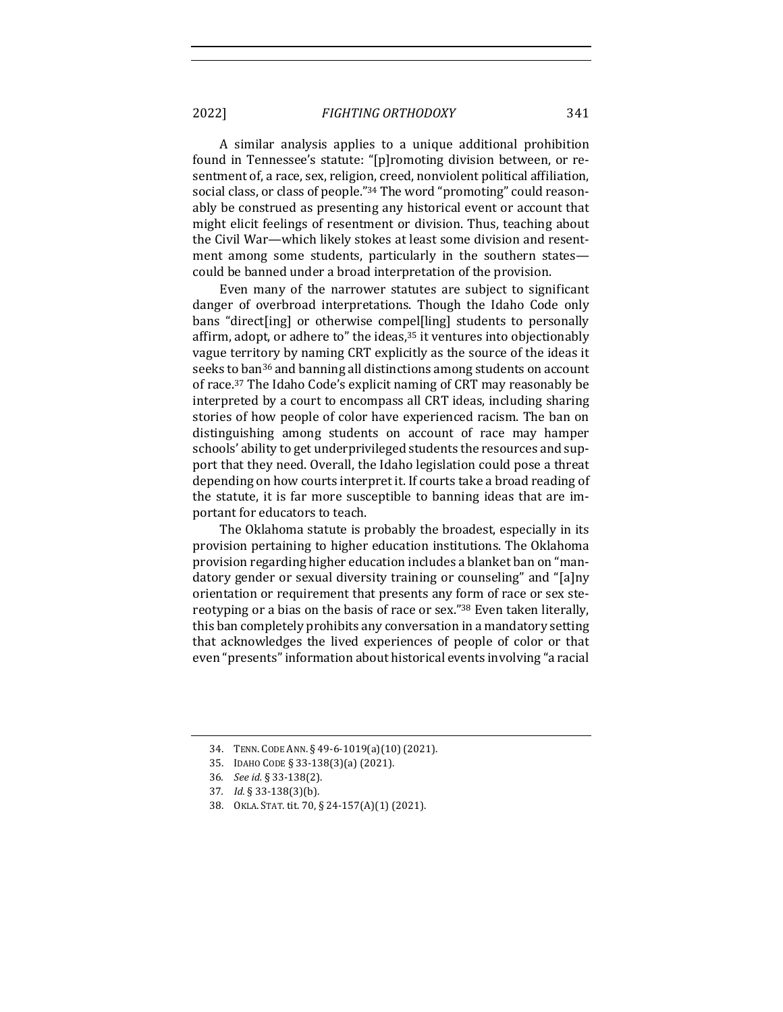A similar analysis applies to a unique additional prohibition found in Tennessee's statute: "[p]romoting division between, or resentment of, a race, sex, religion, creed, nonviolent political affiliation, social class, or class of people."<sup>34</sup> The word "promoting" could reasonably be construed as presenting any historical event or account that might elicit feelings of resentment or division. Thus, teaching about the Civil War—which likely stokes at least some division and resentment among some students, particularly in the southern states could be banned under a broad interpretation of the provision.

Even many of the narrower statutes are subject to significant danger of overbroad interpretations. Though the Idaho Code only bans "direct[ing] or otherwise compel[ling] students to personally affirm, adopt, or adhere to" the ideas,<sup>35</sup> it ventures into objectionably vague territory by naming CRT explicitly as the source of the ideas it seeks to ban<sup>36</sup> and banning all distinctions among students on account of race.<sup>37</sup> The Idaho Code's explicit naming of CRT may reasonably be interpreted by a court to encompass all CRT ideas, including sharing stories of how people of color have experienced racism. The ban on distinguishing among students on account of race may hamper schools' ability to get underprivileged students the resources and support that they need. Overall, the Idaho legislation could pose a threat depending on how courts interpret it. If courts take a broad reading of the statute, it is far more susceptible to banning ideas that are important for educators to teach.

The Oklahoma statute is probably the broadest, especially in its provision pertaining to higher education institutions. The Oklahoma provision regarding higher education includes a blanket ban on "mandatory gender or sexual diversity training or counseling" and "[a]ny orientation or requirement that presents any form of race or sex stereotyping or a bias on the basis of race or sex."<sup>38</sup> Even taken literally, this ban completely prohibits any conversation in a mandatory setting that acknowledges the lived experiences of people of color or that even "presents" information about historical events involving "a racial

<sup>34.</sup> TENN. CODE ANN. § 49-6-1019(a)(10) (2021).

<sup>35.</sup> IDAHO CODE § 33-138(3)(a) (2021).

<sup>36</sup>*. See id.* § 33-138(2).

<sup>37</sup>*. Id.* § 33-138(3)(b).

<sup>38.</sup> OKLA. STAT. tit. 70, § 24-157(A)(1) (2021).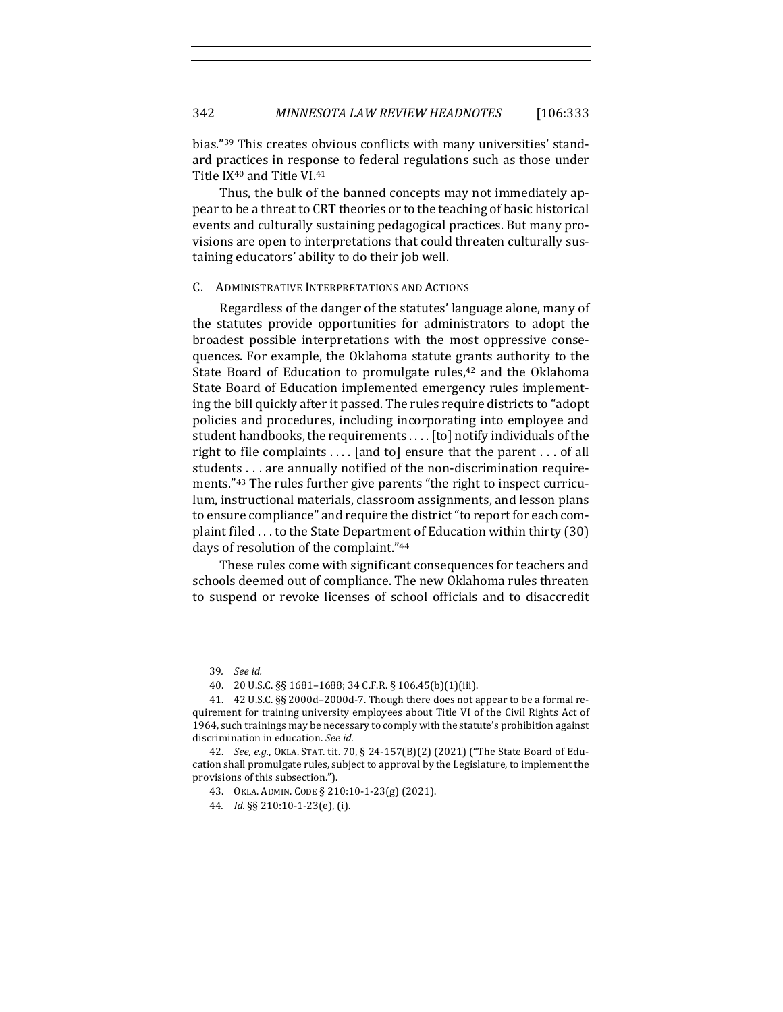bias."<sup>39</sup> This creates obvious conflicts with many universities' standard practices in response to federal regulations such as those under Title IX<sup>40</sup> and Title VI.<sup>41</sup>

Thus, the bulk of the banned concepts may not immediately appear to be a threat to CRT theories or to the teaching of basic historical events and culturally sustaining pedagogical practices. But many provisions are open to interpretations that could threaten culturally sustaining educators' ability to do their job well.

#### C. ADMINISTRATIVE INTERPRETATIONS AND ACTIONS

Regardless of the danger of the statutes' language alone, many of the statutes provide opportunities for administrators to adopt the broadest possible interpretations with the most oppressive consequences. For example, the Oklahoma statute grants authority to the State Board of Education to promulgate rules,<sup>42</sup> and the Oklahoma State Board of Education implemented emergency rules implementing the bill quickly after it passed. The rules require districts to "adopt" policies and procedures, including incorporating into employee and student handbooks, the requirements . . . . [to] notify individuals of the right to file complaints  $\dots$  [and to] ensure that the parent  $\dots$  of all students . . . are annually notified of the non-discrimination requirements."<sup>43</sup> The rules further give parents "the right to inspect curriculum, instructional materials, classroom assignments, and lesson plans to ensure compliance" and require the district "to report for each complaint filed  $\dots$  to the State Department of Education within thirty (30) days of resolution of the complaint."44

These rules come with significant consequences for teachers and schools deemed out of compliance. The new Oklahoma rules threaten to suspend or revoke licenses of school officials and to disaccredit

<sup>39</sup>*. See id.*

<sup>40.</sup> 20 U.S.C. §§ 1681–1688; 34 C.F.R. § 106.45(b)(1)(iii).

<sup>41. 42</sup> U.S.C. §§ 2000d-2000d-7. Though there does not appear to be a formal requirement for training university employees about Title VI of the Civil Rights Act of 1964, such trainings may be necessary to comply with the statute's prohibition against discrimination in education. See id.

<sup>42.</sup> *See, e.g.*, OKLA. STAT. tit. 70, § 24-157(B)(2) (2021) ("The State Board of Education shall promulgate rules, subject to approval by the Legislature, to implement the provisions of this subsection.").

<sup>43.</sup> OKLA. ADMIN. CODE § 210:10-1-23(g) (2021). 

<sup>44</sup>*. Id.* §§ 210:10-1-23(e), (i).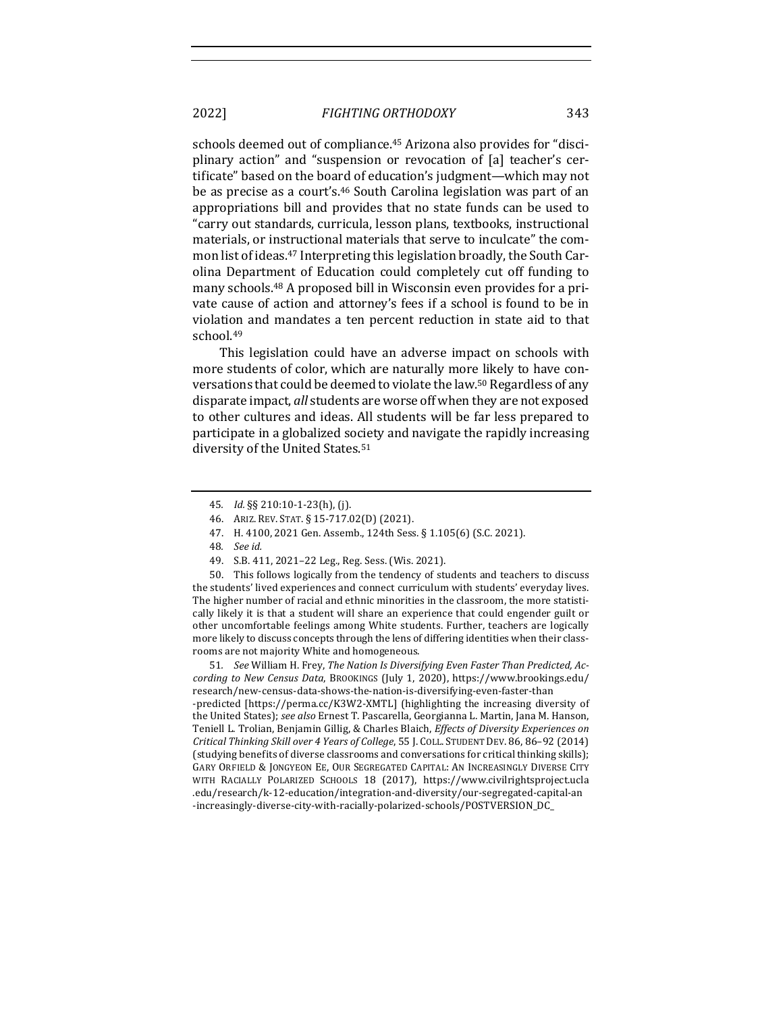schools deemed out of compliance.<sup>45</sup> Arizona also provides for "disciplinary action" and "suspension or revocation of [a] teacher's certificate" based on the board of education's judgment-which may not be as precise as a court's.<sup>46</sup> South Carolina legislation was part of an appropriations bill and provides that no state funds can be used to "carry out standards, curricula, lesson plans, textbooks, instructional materials, or instructional materials that serve to inculcate" the common list of ideas.<sup>47</sup> Interpreting this legislation broadly, the South Carolina Department of Education could completely cut off funding to many schools.<sup>48</sup> A proposed bill in Wisconsin even provides for a private cause of action and attorney's fees if a school is found to be in violation and mandates a ten percent reduction in state aid to that school.49

This legislation could have an adverse impact on schools with more students of color, which are naturally more likely to have conversations that could be deemed to violate the law.<sup>50</sup> Regardless of any disparate impact, *all* students are worse off when they are not exposed to other cultures and ideas. All students will be far less prepared to participate in a globalized society and navigate the rapidly increasing diversity of the United States.<sup>51</sup>

50. This follows logically from the tendency of students and teachers to discuss the students' lived experiences and connect curriculum with students' everyday lives. The higher number of racial and ethnic minorities in the classroom, the more statistically likely it is that a student will share an experience that could engender guilt or other uncomfortable feelings among White students. Further, teachers are logically more likely to discuss concepts through the lens of differing identities when their classrooms are not majority White and homogeneous.

51. See William H. Frey, The Nation Is Diversifying Even Faster Than Predicted, Ac*cording to New Census Data*, BROOKINGS (July 1, 2020), https://www.brookings.edu/ research/new-census-data-shows-the-nation-is-diversifying-even-faster-than -predicted [https://perma.cc/K3W2-XMTL] (highlighting the increasing diversity of the United States); see also Ernest T. Pascarella, Georgianna L. Martin, Jana M. Hanson, Teniell L. Trolian, Benjamin Gillig, & Charles Blaich, *Effects of Diversity Experiences on Critical Thinking Skill over 4 Years of College*, 55 J. COLL. STUDENT DEV. 86, 86-92 (2014) (studying benefits of diverse classrooms and conversations for critical thinking skills); GARY ORFIELD & JONGYEON EE, OUR SEGREGATED CAPITAL: AN INCREASINGLY DIVERSE CITY WITH RACIALLY POLARIZED SCHOOLS 18 (2017), https://www.civilrightsproject.ucla .edu/research/k-12-education/integration-and-diversity/our-segregated-capital-an -increasingly-diverse-city-with-racially-polarized-schools/POSTVERSION\_DC\_

<sup>45</sup>*. Id.* §§ 210:10-1-23(h), (j). 

<sup>46.</sup> ARIZ. REV. STAT. § 15-717.02(D) (2021).

<sup>47.</sup> H. 4100, 2021 Gen. Assemb., 124th Sess. § 1.105(6) (S.C. 2021).

<sup>48</sup>*. See id.*

<sup>49.</sup> S.B. 411, 2021-22 Leg., Reg. Sess. (Wis. 2021).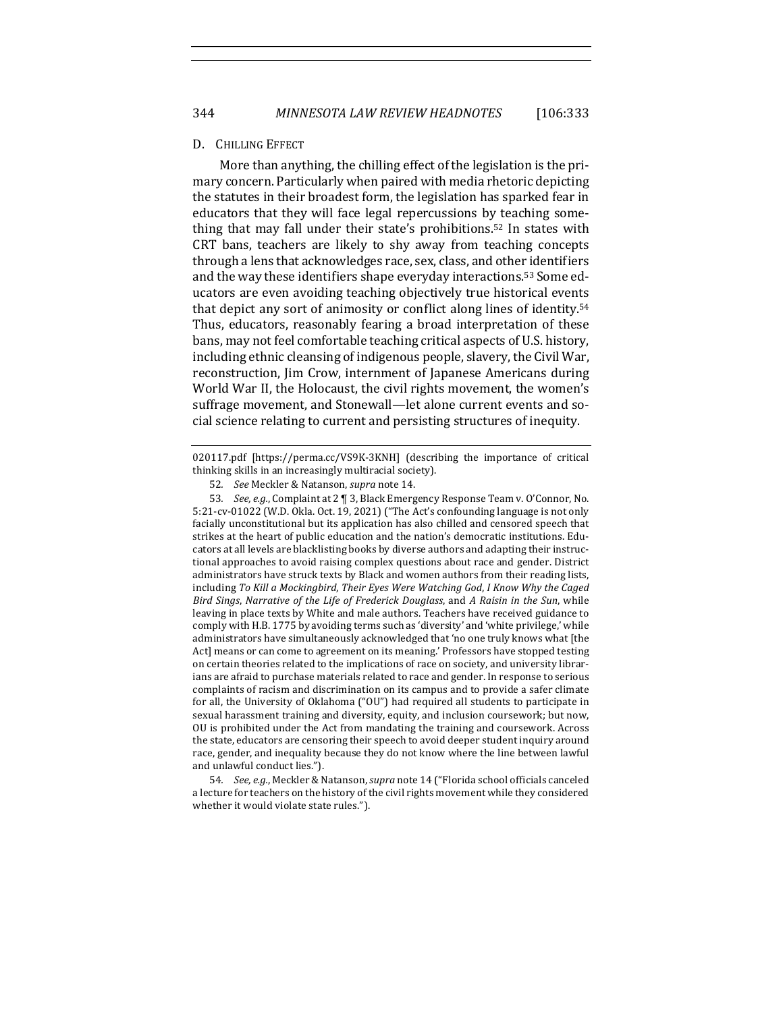#### D. CHILLING EFFECT

More than anything, the chilling effect of the legislation is the primary concern. Particularly when paired with media rhetoric depicting the statutes in their broadest form, the legislation has sparked fear in educators that they will face legal repercussions by teaching something that may fall under their state's prohibitions.<sup>52</sup> In states with CRT bans, teachers are likely to shy away from teaching concepts through a lens that acknowledges race, sex, class, and other identifiers and the way these identifiers shape everyday interactions.<sup>53</sup> Some educators are even avoiding teaching objectively true historical events that depict any sort of animosity or conflict along lines of identity.<sup>54</sup> Thus, educators, reasonably fearing a broad interpretation of these bans, may not feel comfortable teaching critical aspects of U.S. history, including ethnic cleansing of indigenous people, slavery, the Civil War, reconstruction, Jim Crow, internment of Japanese Americans during World War II, the Holocaust, the civil rights movement, the women's suffrage movement, and Stonewall—let alone current events and social science relating to current and persisting structures of inequity.

020117.pdf [https://perma.cc/VS9K-3KNH] (describing the importance of critical thinking skills in an increasingly multiracial society).

54. *See, e.g.*, Meckler & Natanson, *supra* note 14 ("Florida school officials canceled a lecture for teachers on the history of the civil rights movement while they considered whether it would violate state rules.").

<sup>52</sup>*. See* Meckler & Natanson, *supra* note 14.

<sup>53.</sup> *See, e.g.*, Complaint at 2 ¶ 3, Black Emergency Response Team v. O'Connor, No. 5:21-cv-01022 (W.D. Okla. Oct. 19, 2021) ("The Act's confounding language is not only facially unconstitutional but its application has also chilled and censored speech that strikes at the heart of public education and the nation's democratic institutions. Educators at all levels are blacklisting books by diverse authors and adapting their instructional approaches to avoid raising complex questions about race and gender. District administrators have struck texts by Black and women authors from their reading lists, including To Kill a Mockingbird, Their Eyes Were Watching God, *I Know Why the Caged Bird Sings, Narrative of the Life of Frederick Douglass, and A Raisin in the Sun, while* leaving in place texts by White and male authors. Teachers have received guidance to comply with H.B. 1775 by avoiding terms such as 'diversity' and 'white privilege,' while administrators have simultaneously acknowledged that 'no one truly knows what [the Act] means or can come to agreement on its meaning.' Professors have stopped testing on certain theories related to the implications of race on society, and university librarians are afraid to purchase materials related to race and gender. In response to serious complaints of racism and discrimination on its campus and to provide a safer climate for all, the University of Oklahoma ("OU") had required all students to participate in sexual harassment training and diversity, equity, and inclusion coursework; but now, OU is prohibited under the Act from mandating the training and coursework. Across the state, educators are censoring their speech to avoid deeper student inquiry around race, gender, and inequality because they do not know where the line between lawful and unlawful conduct lies.").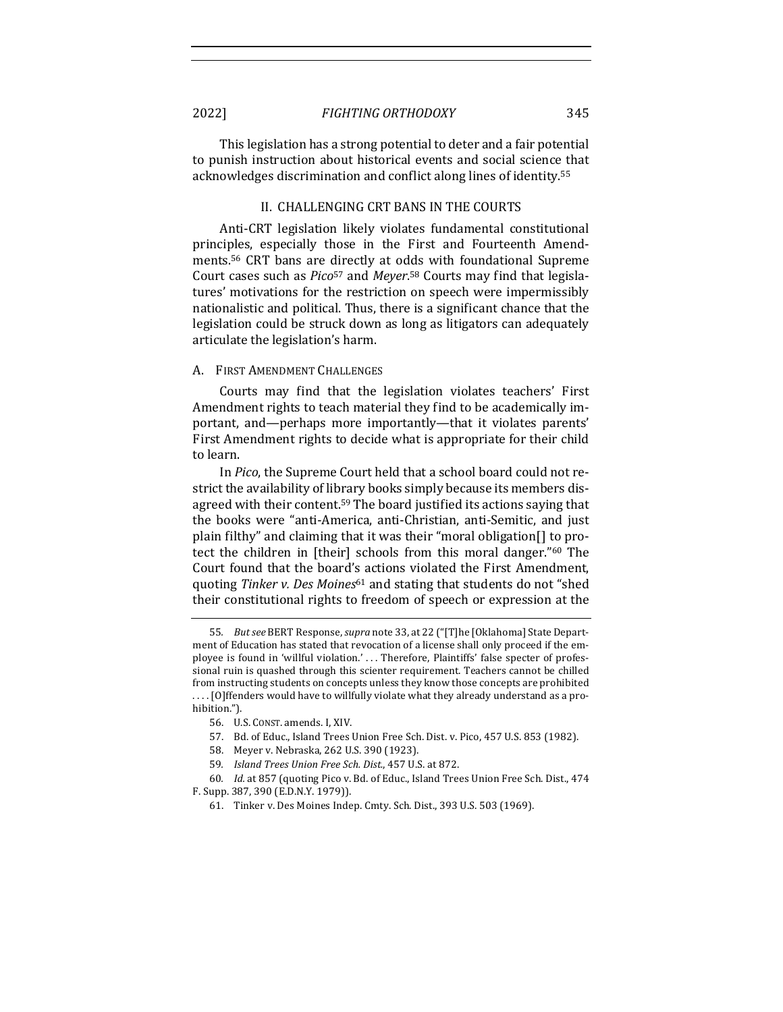This legislation has a strong potential to deter and a fair potential to punish instruction about historical events and social science that acknowledges discrimination and conflict along lines of identity.<sup>55</sup>

#### II. CHALLENGING CRT BANS IN THE COURTS

Anti-CRT legislation likely violates fundamental constitutional principles, especially those in the First and Fourteenth Amendments.<sup>56</sup> CRT bans are directly at odds with foundational Supreme Court cases such as *Pico*<sup>57</sup> and *Meyer*.<sup>58</sup> Courts may find that legislatures' motivations for the restriction on speech were impermissibly nationalistic and political. Thus, there is a significant chance that the legislation could be struck down as long as litigators can adequately articulate the legislation's harm.

#### A. FIRST AMENDMENT CHALLENGES

Courts may find that the legislation violates teachers' First Amendment rights to teach material they find to be academically important, and—perhaps more importantly—that it violates parents' First Amendment rights to decide what is appropriate for their child to learn.

In *Pico*, the Supreme Court held that a school board could not restrict the availability of library books simply because its members disagreed with their content.<sup>59</sup> The board justified its actions saying that the books were "anti-America, anti-Christian, anti-Semitic, and just plain filthy" and claiming that it was their "moral obligation. The protect the children in [their] schools from this moral danger."<sup>60</sup> The Court found that the board's actions violated the First Amendment, quoting *Tinker v. Des Moines*<sup>61</sup> and stating that students do not "shed their constitutional rights to freedom of speech or expression at the

57. Bd. of Educ., Island Trees Union Free Sch. Dist. v. Pico, 457 U.S. 853 (1982).

<sup>55.</sup> *But see* BERT Response, *supra* note 33, at 22 ("[T]he [Oklahoma] State Department of Education has stated that revocation of a license shall only proceed if the employee is found in 'willful violation.' ... Therefore, Plaintiffs' false specter of professional ruin is quashed through this scienter requirement. Teachers cannot be chilled from instructing students on concepts unless they know those concepts are prohibited .... [O]ffenders would have to willfully violate what they already understand as a prohibition."). 

<sup>56.</sup> U.S. CONST. amends. I, XIV.

<sup>58.</sup> Meyer v. Nebraska, 262 U.S. 390 (1923).

<sup>59</sup>*. Island Trees Union Free Sch. Dist.*, 457 U.S. at 872.

<sup>60.</sup> Id. at 857 (quoting Pico v. Bd. of Educ., Island Trees Union Free Sch. Dist., 474 F. Supp. 387, 390 (E.D.N.Y. 1979)).

<sup>61.</sup> Tinker v. Des Moines Indep. Cmty. Sch. Dist., 393 U.S. 503 (1969).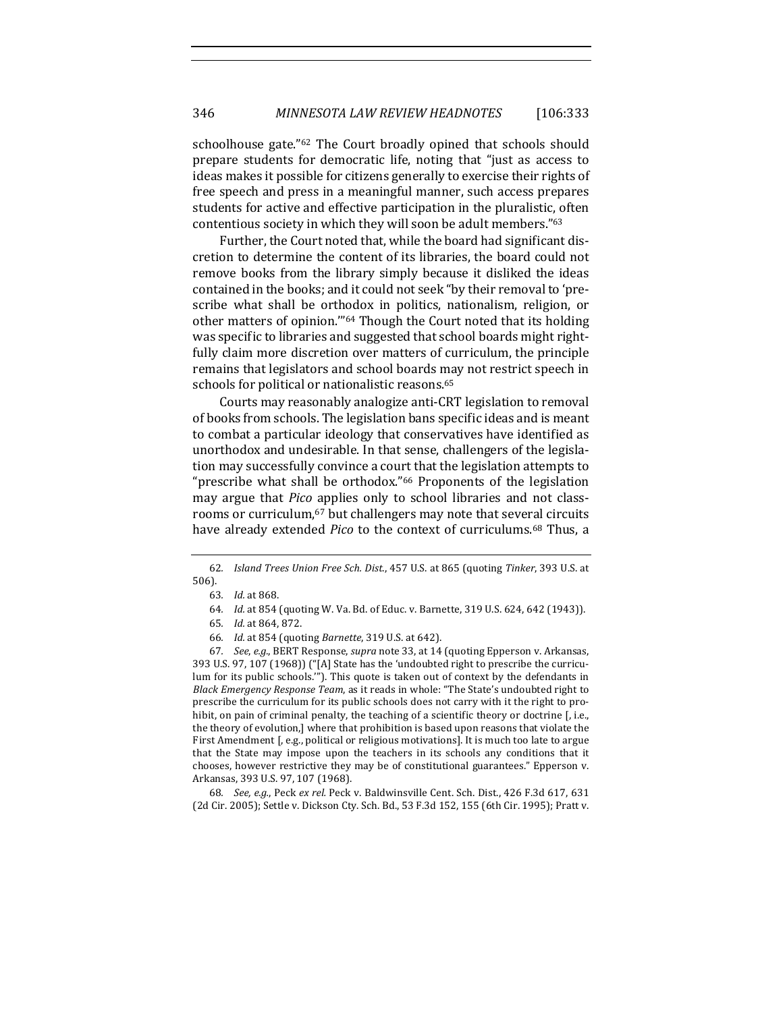schoolhouse gate."<sup>62</sup> The Court broadly opined that schools should prepare students for democratic life, noting that "just as access to ideas makes it possible for citizens generally to exercise their rights of free speech and press in a meaningful manner, such access prepares students for active and effective participation in the pluralistic, often contentious society in which they will soon be adult members."63

Further, the Court noted that, while the board had significant discretion to determine the content of its libraries, the board could not remove books from the library simply because it disliked the ideas contained in the books; and it could not seek "by their removal to 'prescribe what shall be orthodox in politics, nationalism, religion, or other matters of opinion."<sup>64</sup> Though the Court noted that its holding was specific to libraries and suggested that school boards might rightfully claim more discretion over matters of curriculum, the principle remains that legislators and school boards may not restrict speech in schools for political or nationalistic reasons.<sup>65</sup>

Courts may reasonably analogize anti-CRT legislation to removal of books from schools. The legislation bans specific ideas and is meant to combat a particular ideology that conservatives have identified as unorthodox and undesirable. In that sense, challengers of the legislation may successfully convince a court that the legislation attempts to "prescribe what shall be orthodox." $66$  Proponents of the legislation may argue that *Pico* applies only to school libraries and not classrooms or curriculum,<sup>67</sup> but challengers may note that several circuits have already extended *Pico* to the context of curriculums.<sup>68</sup> Thus, a

67. *See, e.g.*, BERT Response, *supra* note 33, at 14 (quoting Epperson v. Arkansas, 393 U.S. 97, 107 (1968)) ("[A] State has the 'undoubted right to prescribe the curriculum for its public schools."). This quote is taken out of context by the defendants in *Black Emergency Response Team*, as it reads in whole: "The State's undoubted right to prescribe the curriculum for its public schools does not carry with it the right to prohibit, on pain of criminal penalty, the teaching of a scientific theory or doctrine  $[$ , i.e., the theory of evolution,] where that prohibition is based upon reasons that violate the First Amendment  $\mathfrak{f}$ , e.g., political or religious motivations]. It is much too late to argue that the State may impose upon the teachers in its schools any conditions that it chooses, however restrictive they may be of constitutional guarantees." Epperson v. Arkansas, 393 U.S. 97, 107 (1968).

68. *See, e.g.*, Peck ex rel. Peck v. Baldwinsville Cent. Sch. Dist., 426 F.3d 617, 631 (2d Cir. 2005); Settle v. Dickson Cty. Sch. Bd., 53 F.3d 152, 155 (6th Cir. 1995); Pratt v.

<sup>62</sup>*. Island Trees Union Free Sch. Dist.*, 457 U.S. at 865 (quoting *Tinker*, 393 U.S. at 506).

<sup>63</sup>*. Id.* at 868.

<sup>64.</sup> *Id.* at 854 (quoting W. Va. Bd. of Educ. v. Barnette, 319 U.S. 624, 642 (1943)).

<sup>65</sup>*. Id.* at 864, 872.

<sup>66</sup>*. Id.* at 854 (quoting *Barnette*, 319 U.S. at 642).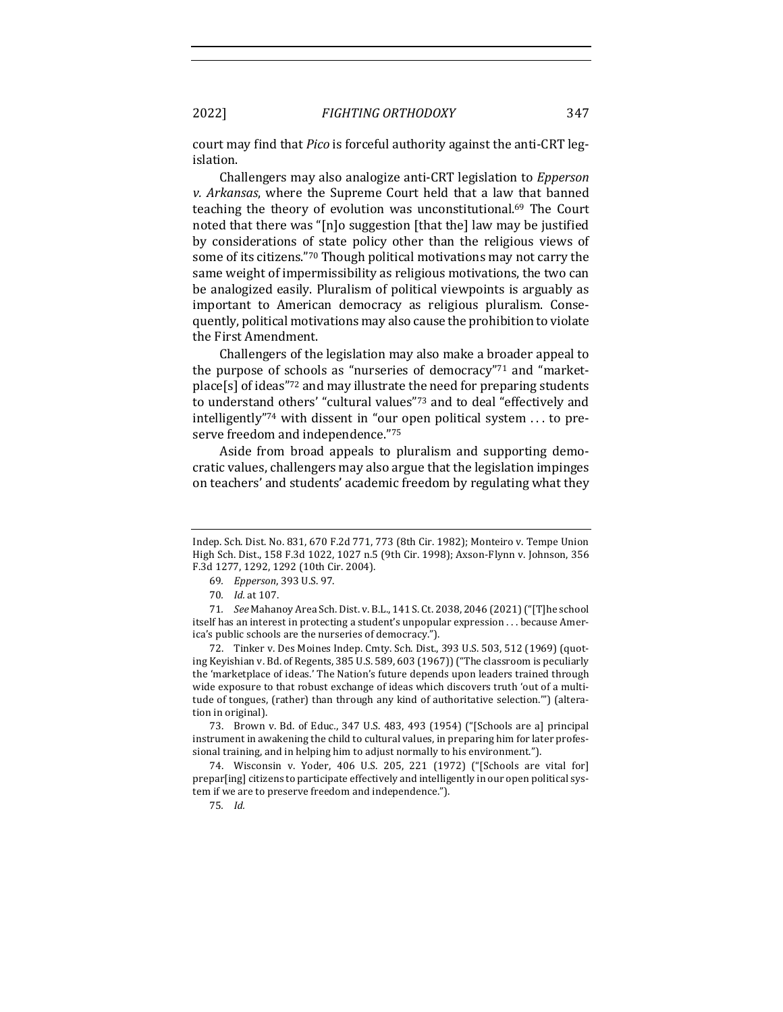court may find that *Pico* is forceful authority against the anti-CRT legislation.

Challengers may also analogize anti-CRT legislation to *Epperson v. Arkansas*, where the Supreme Court held that a law that banned teaching the theory of evolution was unconstitutional.<sup>69</sup> The Court noted that there was "[n]o suggestion [that the] law may be justified by considerations of state policy other than the religious views of some of its citizens."70 Though political motivations may not carry the same weight of impermissibility as religious motivations, the two can be analogized easily. Pluralism of political viewpoints is arguably as important to American democracy as religious pluralism. Consequently, political motivations may also cause the prohibition to violate the First Amendment.

Challengers of the legislation may also make a broader appeal to the purpose of schools as "nurseries of democracy" $71$  and "marketplace[s] of ideas" $72$  and may illustrate the need for preparing students to understand others' "cultural values"<sup>73</sup> and to deal "effectively and intelligently"<sup>74</sup> with dissent in "our open political system  $\dots$  to preserve freedom and independence."75

Aside from broad appeals to pluralism and supporting democratic values, challengers may also argue that the legislation impinges on teachers' and students' academic freedom by regulating what they

72. Tinker v. Des Moines Indep. Cmty. Sch. Dist., 393 U.S. 503, 512 (1969) (quoting Keyishian v. Bd. of Regents, 385 U.S. 589, 603 (1967)) ("The classroom is peculiarly the 'marketplace of ideas.' The Nation's future depends upon leaders trained through wide exposure to that robust exchange of ideas which discovers truth 'out of a multitude of tongues, (rather) than through any kind of authoritative selection."") (alteration in original).

73. Brown v. Bd. of Educ., 347 U.S. 483, 493 (1954) ("[Schools are a] principal instrument in awakening the child to cultural values, in preparing him for later professional training, and in helping him to adjust normally to his environment.").

74. Wisconsin v. Yoder, 406 U.S. 205, 221 (1972) ("[Schools are vital for] prepar[ing] citizens to participate effectively and intelligently in our open political system if we are to preserve freedom and independence.").

75*. Id.*

Indep. Sch. Dist. No. 831, 670 F.2d 771, 773 (8th Cir. 1982); Monteiro v. Tempe Union High Sch. Dist., 158 F.3d 1022, 1027 n.5 (9th Cir. 1998); Axson-Flynn v. Johnson, 356 F.3d 1277, 1292, 1292 (10th Cir. 2004).

<sup>69</sup>*. Epperson*, 393 U.S. 97.

<sup>70.</sup> *Id.* at 107.

<sup>71.</sup> *See* Mahanoy Area Sch. Dist. v. B.L., 141 S. Ct. 2038, 2046 (2021) ("[T]he school itself has an interest in protecting a student's unpopular expression . . . because America's public schools are the nurseries of democracy.").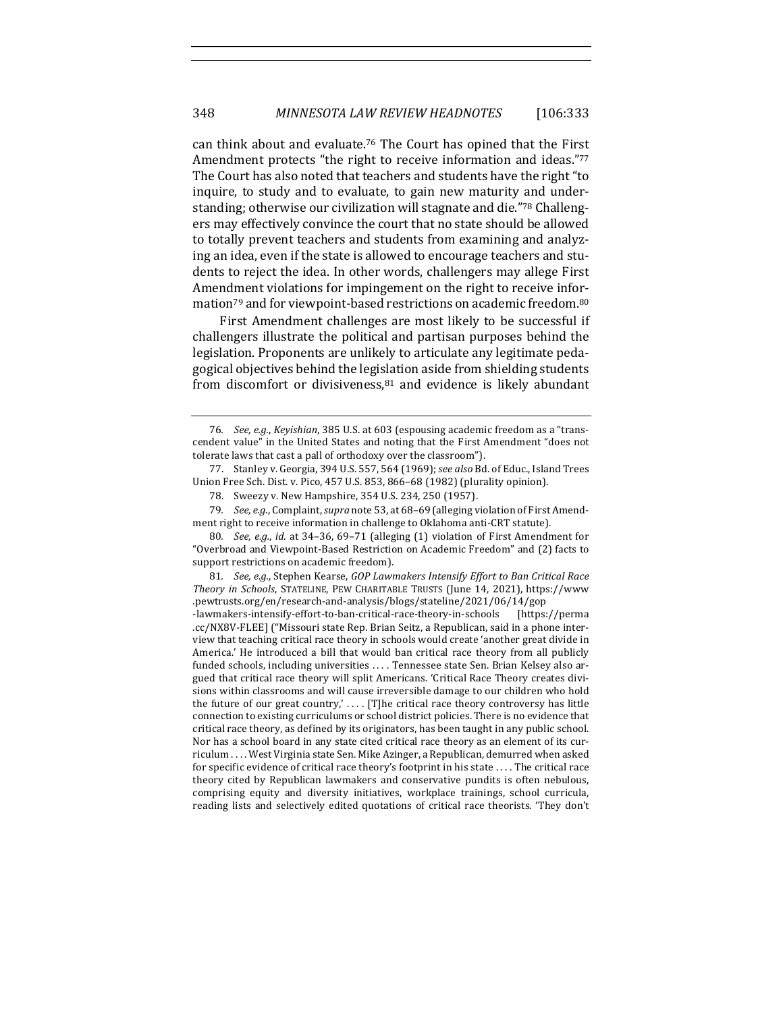can think about and evaluate.<sup>76</sup> The Court has opined that the First Amendment protects "the right to receive information and ideas."77 The Court has also noted that teachers and students have the right "to inquire, to study and to evaluate, to gain new maturity and understanding; otherwise our civilization will stagnate and die."<sup>78</sup> Challengers may effectively convince the court that no state should be allowed to totally prevent teachers and students from examining and analyzing an idea, even if the state is allowed to encourage teachers and students to reject the idea. In other words, challengers may allege First Amendment violations for impingement on the right to receive information<sup>79</sup> and for viewpoint-based restrictions on academic freedom.<sup>80</sup>

First Amendment challenges are most likely to be successful if challengers illustrate the political and partisan purposes behind the legislation. Proponents are unlikely to articulate any legitimate pedagogical objectives behind the legislation aside from shielding students from discomfort or divisiveness, $81$  and evidence is likely abundant

<sup>76.</sup> *See, e.g., Keyishian,* 385 U.S. at 603 (espousing academic freedom as a "transcendent value" in the United States and noting that the First Amendment "does not tolerate laws that cast a pall of orthodoxy over the classroom").

<sup>77.</sup> Stanley v. Georgia, 394 U.S. 557, 564 (1969); see also Bd. of Educ., Island Trees Union Free Sch. Dist. v. Pico, 457 U.S. 853, 866-68 (1982) (plurality opinion).

<sup>78.</sup> Sweezy v. New Hampshire, 354 U.S. 234, 250 (1957).

<sup>79.</sup> *See, e.g.*, Complaint, *supra* note 53, at 68-69 (alleging violation of First Amendment right to receive information in challenge to Oklahoma anti-CRT statute).

<sup>80.</sup> *See, e.g., id.* at 34-36, 69-71 (alleging (1) violation of First Amendment for "Overbroad and Viewpoint-Based Restriction on Academic Freedom" and (2) facts to support restrictions on academic freedom).

<sup>81.</sup> *See, e.g.*, Stephen Kearse, GOP Lawmakers Intensify Effort to Ban Critical Race *Theory in Schools*, STATELINE, PEW CHARITABLE TRUSTS (June 14, 2021), https://www .pewtrusts.org/en/research-and-analysis/blogs/stateline/2021/06/14/gop

<sup>-</sup>lawmakers-intensify-effort-to-ban-critical-race-theory-in-schools [https://perma .cc/NX8V-FLEE] ("Missouri state Rep. Brian Seitz, a Republican, said in a phone interview that teaching critical race theory in schools would create 'another great divide in America.' He introduced a bill that would ban critical race theory from all publicly funded schools, including universities .... Tennessee state Sen. Brian Kelsey also argued that critical race theory will split Americans. 'Critical Race Theory creates divisions within classrooms and will cause irreversible damage to our children who hold the future of our great country,' .... [T]he critical race theory controversy has little connection to existing curriculums or school district policies. There is no evidence that critical race theory, as defined by its originators, has been taught in any public school. Nor has a school board in any state cited critical race theory as an element of its curriculum .... West Virginia state Sen. Mike Azinger, a Republican, demurred when asked for specific evidence of critical race theory's footprint in his state .... The critical race theory cited by Republican lawmakers and conservative pundits is often nebulous, comprising equity and diversity initiatives, workplace trainings, school curricula, reading lists and selectively edited quotations of critical race theorists. 'They don't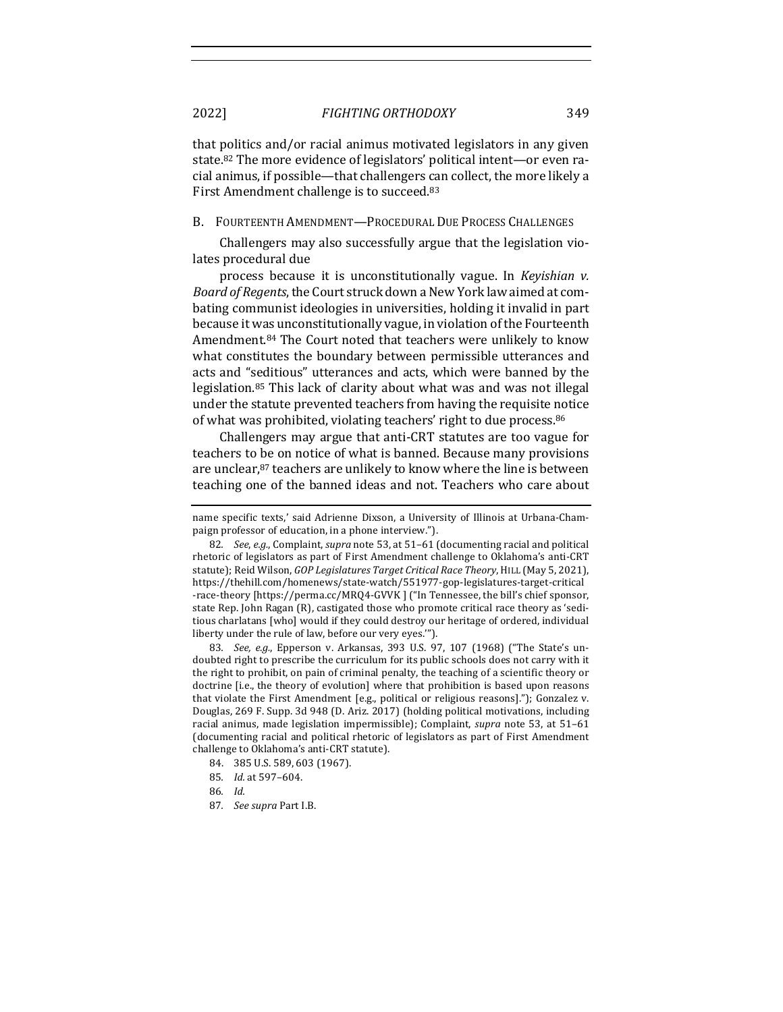that politics and/or racial animus motivated legislators in any given state.<sup>82</sup> The more evidence of legislators' political intent—or even racial animus, if possible—that challengers can collect, the more likely a First Amendment challenge is to succeed.<sup>83</sup>

B. FOURTEENTH AMENDMENT—PROCEDURAL DUE PROCESS CHALLENGES

Challengers may also successfully argue that the legislation violates procedural due

process because it is unconstitutionally vague. In *Kevishian v. Board of Regents*, the Court struck down a New York law aimed at combating communist ideologies in universities, holding it invalid in part because it was unconstitutionally vague, in violation of the Fourteenth Amendment.<sup>84</sup> The Court noted that teachers were unlikely to know what constitutes the boundary between permissible utterances and acts and "seditious" utterances and acts, which were banned by the legislation.<sup>85</sup> This lack of clarity about what was and was not illegal under the statute prevented teachers from having the requisite notice of what was prohibited, violating teachers' right to due process.<sup>86</sup>

Challengers may argue that anti-CRT statutes are too vague for teachers to be on notice of what is banned. Because many provisions are unclear,<sup>87</sup> teachers are unlikely to know where the line is between teaching one of the banned ideas and not. Teachers who care about

83. *See, e.g.*, Epperson v. Arkansas, 393 U.S. 97, 107 (1968) ("The State's undoubted right to prescribe the curriculum for its public schools does not carry with it the right to prohibit, on pain of criminal penalty, the teaching of a scientific theory or doctrine [i.e., the theory of evolution] where that prohibition is based upon reasons that violate the First Amendment [e.g., political or religious reasons]."); Gonzalez v. Douglas, 269 F. Supp. 3d 948 (D. Ariz. 2017) (holding political motivations, including racial animus, made legislation impermissible); Complaint, *supra* note 53, at 51-61 (documenting racial and political rhetoric of legislators as part of First Amendment challenge to Oklahoma's anti-CRT statute).

- 85*. Id.* at 597–604.
- 86*. Id.*
- 87*. See supra* Part I.B.

name specific texts,' said Adrienne Dixson, a University of Illinois at Urbana-Champaign professor of education, in a phone interview.").

<sup>82.</sup> *See, e.g.*, Complaint, *supra* note 53, at 51-61 (documenting racial and political rhetoric of legislators as part of First Amendment challenge to Oklahoma's anti-CRT statute); Reid Wilson, *GOP Legislatures Target Critical Race Theory*, HILL (May 5, 2021), https://thehill.com/homenews/state-watch/551977-gop-legislatures-target-critical -race-theory [https://perma.cc/MRQ4-GVVK ] ("In Tennessee, the bill's chief sponsor, state Rep. John Ragan (R), castigated those who promote critical race theory as 'seditious charlatans [who] would if they could destroy our heritage of ordered, individual liberty under the rule of law, before our very eyes."").

<sup>84. 385</sup> U.S. 589, 603 (1967).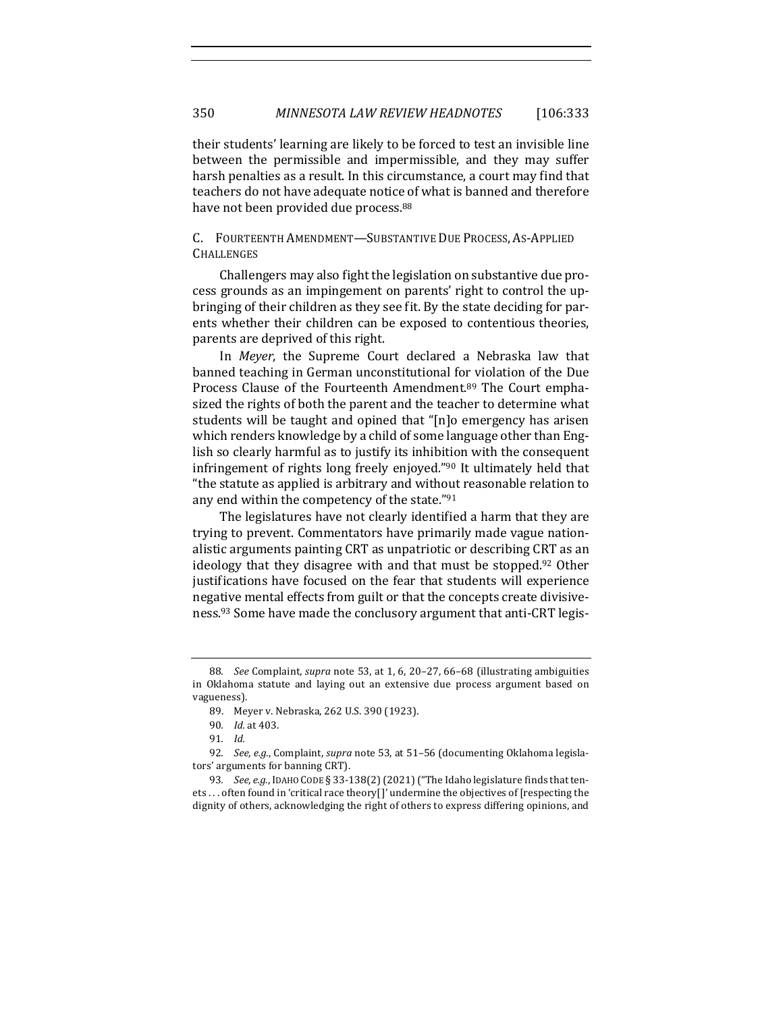their students' learning are likely to be forced to test an invisible line between the permissible and impermissible, and they may suffer harsh penalties as a result. In this circumstance, a court may find that teachers do not have adequate notice of what is banned and therefore have not been provided due process.<sup>88</sup>

#### C. FOURTEENTH AMENDMENT-SUBSTANTIVE DUE PROCESS, AS-APPLIED **CHALLENGES**

Challengers may also fight the legislation on substantive due process grounds as an impingement on parents' right to control the upbringing of their children as they see fit. By the state deciding for parents whether their children can be exposed to contentious theories, parents are deprived of this right.

In *Meyer*, the Supreme Court declared a Nebraska law that banned teaching in German unconstitutional for violation of the Due Process Clause of the Fourteenth Amendment.<sup>89</sup> The Court emphasized the rights of both the parent and the teacher to determine what students will be taught and opined that "[n]o emergency has arisen which renders knowledge by a child of some language other than English so clearly harmful as to justify its inhibition with the consequent infringement of rights long freely enjoyed." $90$  It ultimately held that "the statute as applied is arbitrary and without reasonable relation to any end within the competency of the state."91

The legislatures have not clearly identified a harm that they are trying to prevent. Commentators have primarily made vague nationalistic arguments painting CRT as unpatriotic or describing CRT as an ideology that they disagree with and that must be stopped.<sup>92</sup> Other justifications have focused on the fear that students will experience negative mental effects from guilt or that the concepts create divisiveness.<sup>93</sup> Some have made the conclusory argument that anti-CRT legis-

<sup>88</sup>*. See* Complaint, *supra* note 53, at 1, 6, 20-27, 66-68 (illustrating ambiguities in Oklahoma statute and laying out an extensive due process argument based on vagueness). 

<sup>89.</sup> Meyer v. Nebraska, 262 U.S. 390 (1923).

<sup>90.</sup> *Id.* at 403.

<sup>91</sup>*. Id.*

<sup>92.</sup> *See, e.g.*, Complaint, *supra* note 53, at 51-56 (documenting Oklahoma legislators' arguments for banning CRT).

<sup>93.</sup> *See, e.g.*, IDAHO CODE § 33-138(2) (2021) ("The Idaho legislature finds that tenets ... often found in 'critical race theory[]' undermine the objectives of [respecting the dignity of others, acknowledging the right of others to express differing opinions, and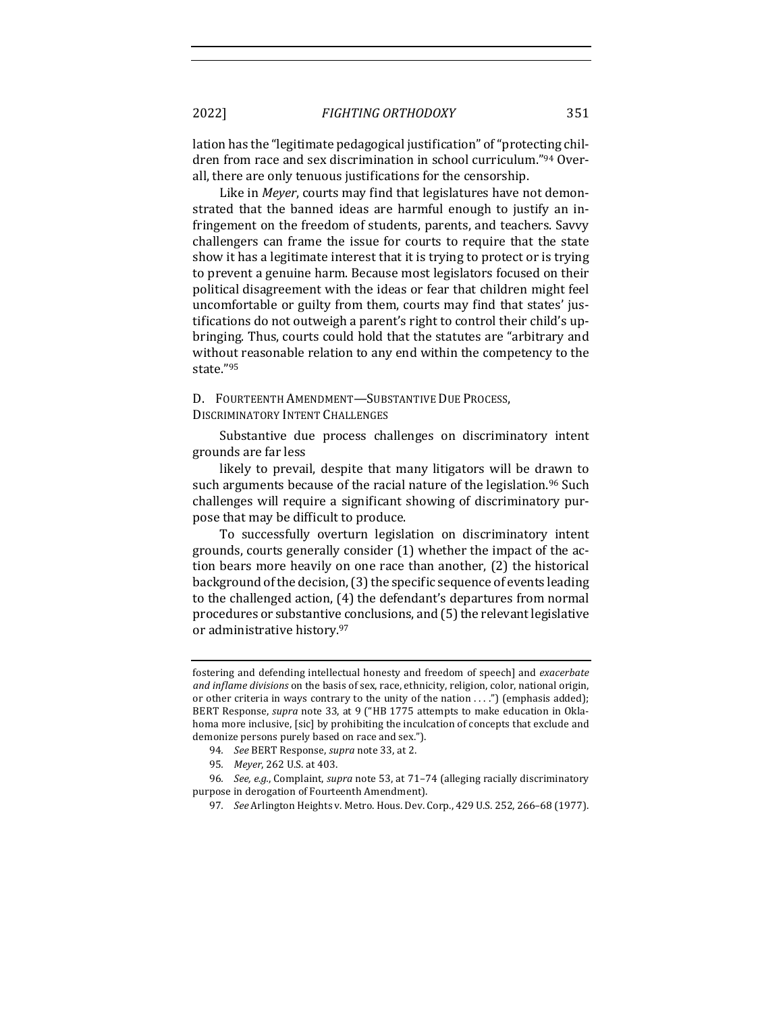lation has the "legitimate pedagogical justification" of "protecting children from race and sex discrimination in school curriculum."94 Overall, there are only tenuous justifications for the censorship.

Like in *Meyer*, courts may find that legislatures have not demonstrated that the banned ideas are harmful enough to justify an infringement on the freedom of students, parents, and teachers. Savvy challengers can frame the issue for courts to require that the state show it has a legitimate interest that it is trying to protect or is trying to prevent a genuine harm. Because most legislators focused on their political disagreement with the ideas or fear that children might feel uncomfortable or guilty from them, courts may find that states' justifications do not outweigh a parent's right to control their child's upbringing. Thus, courts could hold that the statutes are "arbitrary and without reasonable relation to any end within the competency to the state."95

D. FOURTEENTH AMENDMENT-SUBSTANTIVE DUE PROCESS, DISCRIMINATORY INTENT CHALLENGES

Substantive due process challenges on discriminatory intent grounds are far less

likely to prevail, despite that many litigators will be drawn to such arguments because of the racial nature of the legislation.<sup>96</sup> Such challenges will require a significant showing of discriminatory purpose that may be difficult to produce.

To successfully overturn legislation on discriminatory intent grounds, courts generally consider  $(1)$  whether the impact of the action bears more heavily on one race than another,  $(2)$  the historical background of the decision, (3) the specific sequence of events leading to the challenged action, (4) the defendant's departures from normal procedures or substantive conclusions, and (5) the relevant legislative or administrative history.97

fostering and defending intellectual honesty and freedom of speech] and *exacerbate and inflame divisions* on the basis of sex, race, ethnicity, religion, color, national origin, or other criteria in ways contrary to the unity of the nation  $\dots$ .") (emphasis added); BERT Response, *supra* note 33, at 9 ("HB 1775 attempts to make education in Oklahoma more inclusive, [sic] by prohibiting the inculcation of concepts that exclude and demonize persons purely based on race and sex.").

<sup>94.</sup> *See* BERT Response, *supra* note 33, at 2.

<sup>95.</sup> Meyer, 262 U.S. at 403.

<sup>96.</sup> *See, e.g.*, Complaint, *supra* note 53, at 71-74 (alleging racially discriminatory purpose in derogation of Fourteenth Amendment).

<sup>97.</sup> *See* Arlington Heights v. Metro. Hous. Dev. Corp., 429 U.S. 252, 266-68 (1977).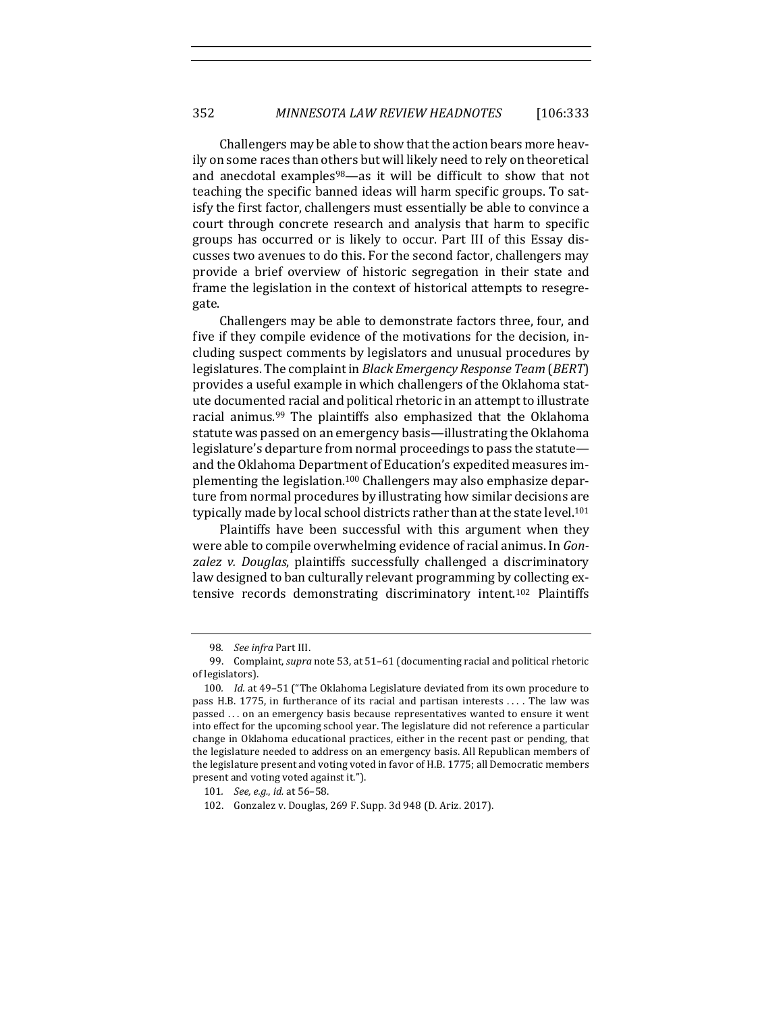Challengers may be able to show that the action bears more heavily on some races than others but will likely need to rely on theoretical and anecdotal examples $98$ —as it will be difficult to show that not teaching the specific banned ideas will harm specific groups. To satisfy the first factor, challengers must essentially be able to convince a court through concrete research and analysis that harm to specific groups has occurred or is likely to occur. Part III of this Essay discusses two avenues to do this. For the second factor, challengers may provide a brief overview of historic segregation in their state and frame the legislation in the context of historical attempts to resegregate. 

Challengers may be able to demonstrate factors three, four, and five if they compile evidence of the motivations for the decision, including suspect comments by legislators and unusual procedures by legislatures. The complaint in *Black Emergency Response Team* (*BERT*) provides a useful example in which challengers of the Oklahoma statute documented racial and political rhetoric in an attempt to illustrate racial animus.<sup>99</sup> The plaintiffs also emphasized that the Oklahoma statute was passed on an emergency basis—illustrating the Oklahoma legislature's departure from normal proceedings to pass the statuteand the Oklahoma Department of Education's expedited measures implementing the legislation.<sup>100</sup> Challengers may also emphasize departure from normal procedures by illustrating how similar decisions are typically made by local school districts rather than at the state level.<sup>101</sup>

Plaintiffs have been successful with this argument when they were able to compile overwhelming evidence of racial animus. In *Gon*zalez v. Douglas, plaintiffs successfully challenged a discriminatory law designed to ban culturally relevant programming by collecting extensive records demonstrating discriminatory intent.<sup>102</sup> Plaintiffs

<sup>98.</sup> *See infra* Part III.

<sup>99.</sup> Complaint, *supra* note 53, at 51-61 (documenting racial and political rhetoric of legislators).

<sup>100.</sup> *Id.* at 49-51 ("The Oklahoma Legislature deviated from its own procedure to pass H.B. 1775, in furtherance of its racial and partisan interests ... . The law was passed ... on an emergency basis because representatives wanted to ensure it went into effect for the upcoming school year. The legislature did not reference a particular change in Oklahoma educational practices, either in the recent past or pending, that the legislature needed to address on an emergency basis. All Republican members of the legislature present and voting voted in favor of H.B. 1775; all Democratic members present and voting voted against it.").

<sup>101.</sup> *See, e.g., id.* at 56-58.

<sup>102.</sup> Gonzalez v. Douglas, 269 F. Supp. 3d 948 (D. Ariz. 2017).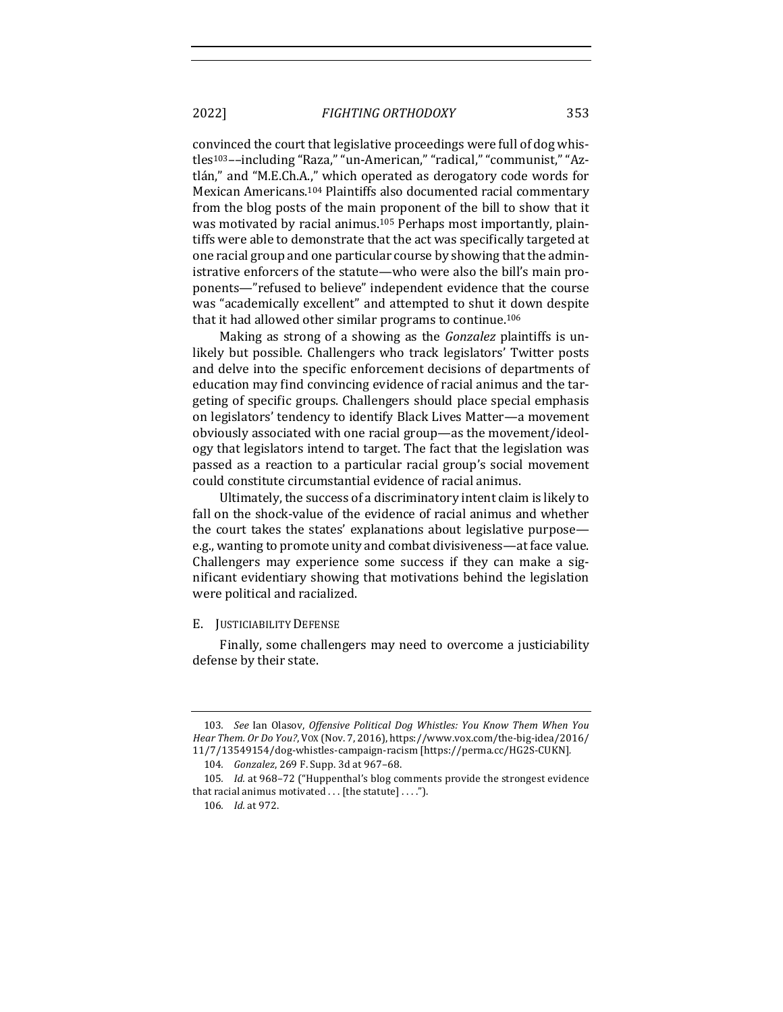convinced the court that legislative proceedings were full of dog whistles<sup>103</sup>--including "Raza," "un-American," "radical," "communist," "Aztlán," and "M.E.Ch.A.," which operated as derogatory code words for Mexican Americans.<sup>104</sup> Plaintiffs also documented racial commentary from the blog posts of the main proponent of the bill to show that it was motivated by racial animus.<sup>105</sup> Perhaps most importantly, plaintiffs were able to demonstrate that the act was specifically targeted at one racial group and one particular course by showing that the administrative enforcers of the statute—who were also the bill's main proponents—"refused to believe" independent evidence that the course was "academically excellent" and attempted to shut it down despite that it had allowed other similar programs to continue.<sup>106</sup>

Making as strong of a showing as the *Gonzalez* plaintiffs is unlikely but possible. Challengers who track legislators' Twitter posts and delve into the specific enforcement decisions of departments of education may find convincing evidence of racial animus and the targeting of specific groups. Challengers should place special emphasis on legislators' tendency to identify Black Lives Matter—a movement obviously associated with one racial group—as the movement/ideology that legislators intend to target. The fact that the legislation was passed as a reaction to a particular racial group's social movement could constitute circumstantial evidence of racial animus.

Ultimately, the success of a discriminatory intent claim is likely to fall on the shock-value of the evidence of racial animus and whether the court takes the states' explanations about legislative purpose e.g., wanting to promote unity and combat divisiveness—at face value. Challengers may experience some success if they can make a significant evidentiary showing that motivations behind the legislation were political and racialized.

#### E. JUSTICIABILITY DEFENSE

Finally, some challengers may need to overcome a justiciability defense by their state.

<sup>103.</sup> See Ian Olasov, Offensive Political Dog Whistles: You Know Them When You *Hear Them. Or Do You?*, VOX (Nov. 7, 2016), https://www.vox.com/the-big-idea/2016/ 11/7/13549154/dog-whistles-campaign-racism [https://perma.cc/HG2S-CUKN]*.*

<sup>104.</sup> *Gonzalez*, 269 F. Supp. 3d at 967-68.

<sup>105.</sup> *Id.* at 968-72 ("Huppenthal's blog comments provide the strongest evidence that racial animus motivated  $\dots$  [the statute]  $\dots$ .").

<sup>106</sup>*. Id.* at 972.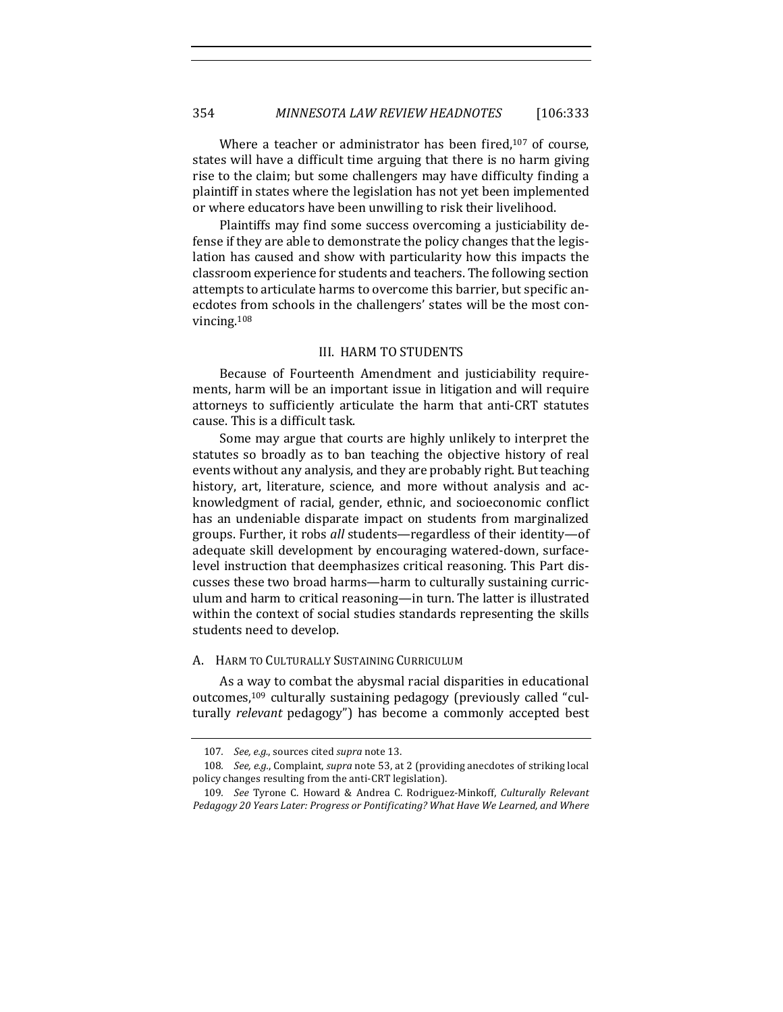Where a teacher or administrator has been fired, $107$  of course, states will have a difficult time arguing that there is no harm giving rise to the claim; but some challengers may have difficulty finding a plaintiff in states where the legislation has not yet been implemented or where educators have been unwilling to risk their livelihood.

Plaintiffs may find some success overcoming a justiciability defense if they are able to demonstrate the policy changes that the legislation has caused and show with particularity how this impacts the classroom experience for students and teachers. The following section attempts to articulate harms to overcome this barrier, but specific anecdotes from schools in the challengers' states will be the most convincing.108

#### **III. HARM TO STUDENTS**

Because of Fourteenth Amendment and justiciability requirements, harm will be an important issue in litigation and will require attorneys to sufficiently articulate the harm that anti-CRT statutes cause. This is a difficult task.

Some may argue that courts are highly unlikely to interpret the statutes so broadly as to ban teaching the objective history of real events without any analysis, and they are probably right. But teaching history, art, literature, science, and more without analysis and acknowledgment of racial, gender, ethnic, and socioeconomic conflict has an undeniable disparate impact on students from marginalized groups. Further, it robs all students—regardless of their identity—of adequate skill development by encouraging watered-down, surfacelevel instruction that deemphasizes critical reasoning. This Part discusses these two broad harms-harm to culturally sustaining curriculum and harm to critical reasoning—in turn. The latter is illustrated within the context of social studies standards representing the skills students need to develop.

#### A. HARM TO CULTURALLY SUSTAINING CURRICULUM

As a way to combat the abysmal racial disparities in educational outcomes,  $109$  culturally sustaining pedagogy (previously called "culturally *relevant* pedagogy") has become a commonly accepted best

<sup>107.</sup> See, e.g., sources cited supra note 13.

<sup>108.</sup> *See, e.g.*, Complaint, *supra* note 53, at 2 (providing anecdotes of striking local policy changes resulting from the anti-CRT legislation).

<sup>109.</sup> *See* Tyrone C. Howard & Andrea C. Rodriguez-Minkoff, *Culturally Relevant* Pedagogy 20 Years Later: Progress or Pontificating? What Have We Learned, and Where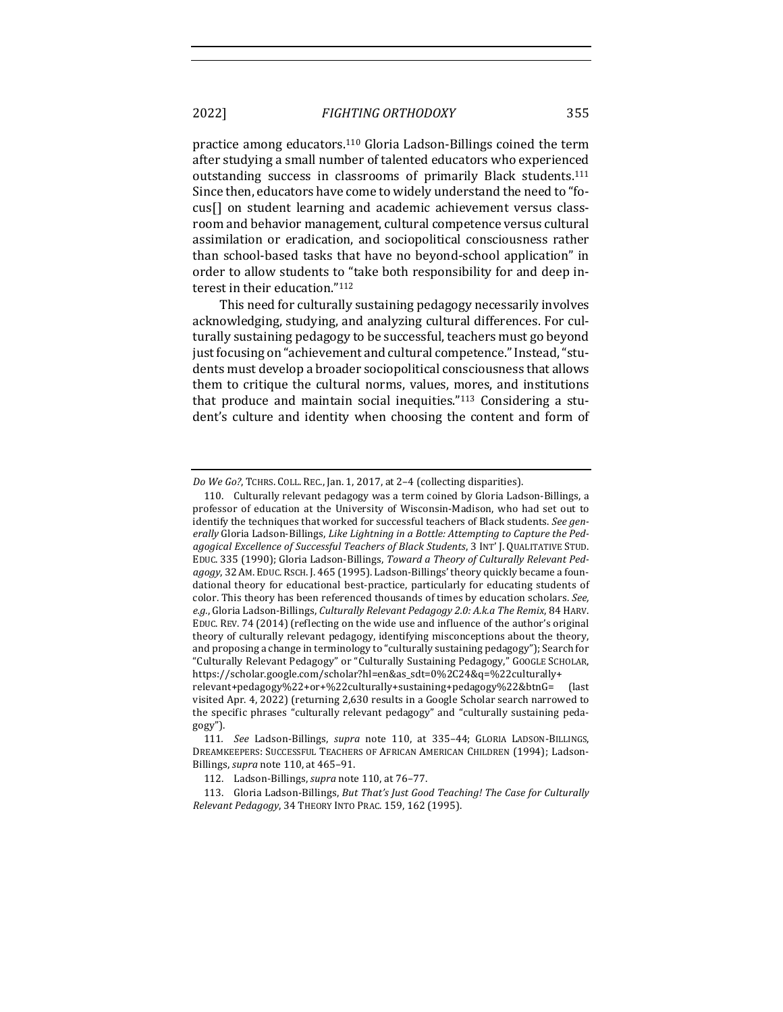practice among educators.<sup>110</sup> Gloria Ladson-Billings coined the term after studying a small number of talented educators who experienced outstanding success in classrooms of primarily Black students.<sup>111</sup> Since then, educators have come to widely understand the need to "focus<sup>[]</sup> on student learning and academic achievement versus classroom and behavior management, cultural competence versus cultural assimilation or eradication, and sociopolitical consciousness rather than school-based tasks that have no beyond-school application" in order to allow students to "take both responsibility for and deep interest in their education."112

This need for culturally sustaining pedagogy necessarily involves acknowledging, studying, and analyzing cultural differences. For culturally sustaining pedagogy to be successful, teachers must go beyond just focusing on "achievement and cultural competence." Instead, "students must develop a broader sociopolitical consciousness that allows them to critique the cultural norms, values, mores, and institutions that produce and maintain social inequities." $113$  Considering a student's culture and identity when choosing the content and form of

*Do We Go?*, TCHRS. COLL. REC., Jan. 1, 2017, at 2-4 (collecting disparities).

<sup>110.</sup> Culturally relevant pedagogy was a term coined by Gloria Ladson-Billings, a professor of education at the University of Wisconsin-Madison, who had set out to identify the techniques that worked for successful teachers of Black students. See generally Gloria Ladson-Billings, Like Lightning in a Bottle: Attempting to Capture the Pedagogical Excellence of Successful Teachers of Black Students, 3 INT' J. QUALITATIVE STUD. EDUC. 335 (1990); Gloria Ladson-Billings, *Toward a Theory of Culturally Relevant Pedagogy*, 32 AM. EDUC. RSCH. J. 465 (1995). Ladson-Billings' theory quickly became a foundational theory for educational best-practice, particularly for educating students of color. This theory has been referenced thousands of times by education scholars. See, e.g., Gloria Ladson-Billings, *Culturally Relevant Pedagogy 2.0: A.k.a The Remix*, 84 HARV. EDUC. REV. 74 (2014) (reflecting on the wide use and influence of the author's original theory of culturally relevant pedagogy, identifying misconceptions about the theory, and proposing a change in terminology to "culturally sustaining pedagogy"); Search for "Culturally Relevant Pedagogy" or "Culturally Sustaining Pedagogy," GOOGLE SCHOLAR, https://scholar.google.com/scholar?hl=en&as\_sdt=0%2C24&q=%22culturally+

relevant+pedagogy%22+or+%22culturally+sustaining+pedagogy%22&btnG= (last visited Apr. 4, 2022) (returning 2,630 results in a Google Scholar search narrowed to the specific phrases "culturally relevant pedagogy" and "culturally sustaining pedagogy").

<sup>111.</sup> *See* Ladson-Billings, *supra* note 110, at 335-44; GLORIA LADSON-BILLINGS, DREAMKEEPERS: SUCCESSFUL TEACHERS OF AFRICAN AMERICAN CHILDREN (1994); Ladson-Billings, *supra* note 110, at 465-91.

<sup>112.</sup> Ladson-Billings, *supra* note 110, at 76-77.

<sup>113.</sup> Gloria Ladson-Billings, *But That's Just Good Teaching! The Case for Culturally Relevant Pedagogy*, 34 THEORY INTO PRAC. 159, 162 (1995).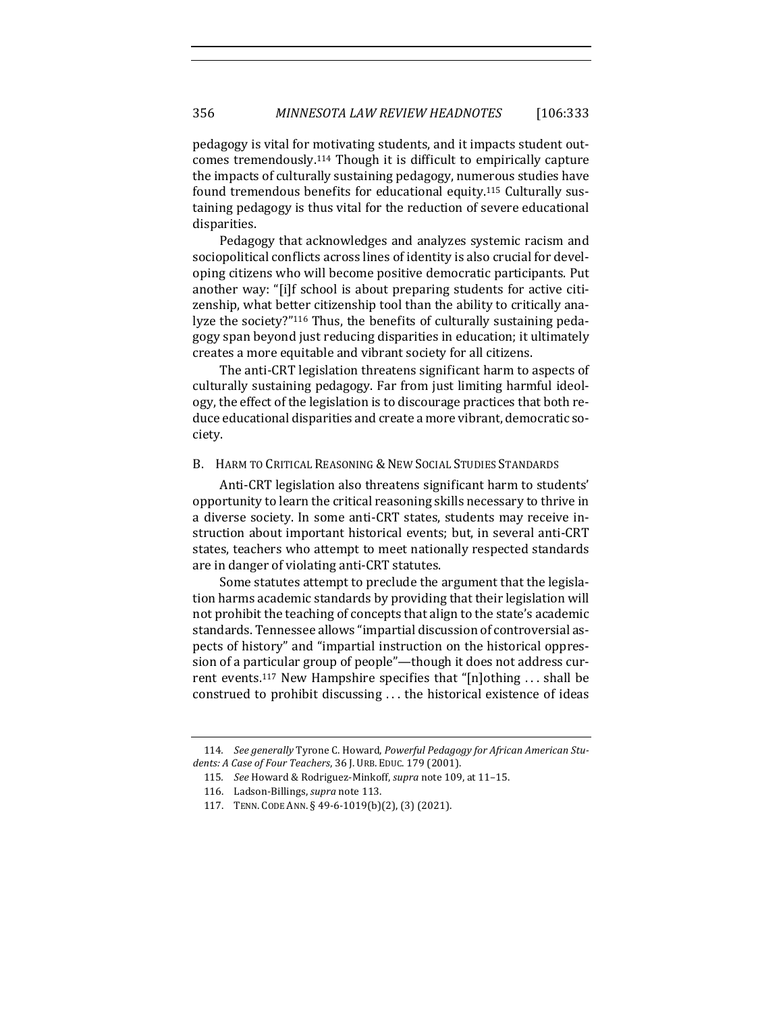pedagogy is vital for motivating students, and it impacts student outcomes tremendously.<sup>114</sup> Though it is difficult to empirically capture the impacts of culturally sustaining pedagogy, numerous studies have found tremendous benefits for educational equity.<sup>115</sup> Culturally sustaining pedagogy is thus vital for the reduction of severe educational disparities.

Pedagogy that acknowledges and analyzes systemic racism and sociopolitical conflicts across lines of identity is also crucial for developing citizens who will become positive democratic participants. Put another way: "[i]f school is about preparing students for active citizenship, what better citizenship tool than the ability to critically analyze the society?"<sup>116</sup> Thus, the benefits of culturally sustaining pedagogy span beyond just reducing disparities in education; it ultimately creates a more equitable and vibrant society for all citizens.

The anti-CRT legislation threatens significant harm to aspects of culturally sustaining pedagogy. Far from just limiting harmful ideology, the effect of the legislation is to discourage practices that both reduce educational disparities and create a more vibrant, democratic society. 

#### B. HARM TO CRITICAL REASONING & NEW SOCIAL STUDIES STANDARDS

Anti-CRT legislation also threatens significant harm to students' opportunity to learn the critical reasoning skills necessary to thrive in a diverse society. In some anti-CRT states, students may receive instruction about important historical events; but, in several anti-CRT states, teachers who attempt to meet nationally respected standards are in danger of violating anti-CRT statutes.

Some statutes attempt to preclude the argument that the legislation harms academic standards by providing that their legislation will not prohibit the teaching of concepts that align to the state's academic standards. Tennessee allows "impartial discussion of controversial aspects of history" and "impartial instruction on the historical oppression of a particular group of people"—though it does not address current events.<sup>117</sup> New Hampshire specifies that "[n]othing ... shall be construed to prohibit discussing ... the historical existence of ideas

<sup>114.</sup> See generally Tyrone C. Howard, Powerful Pedagogy for African American Students: A Case of Four Teachers, 36 J. URB. EDUC. 179 (2001).

<sup>115.</sup> See Howard & Rodriguez-Minkoff, *supra* note 109, at 11-15.

<sup>116.</sup> Ladson-Billings, *supra* note 113.

<sup>117.</sup> TENN. CODE ANN. § 49-6-1019(b)(2), (3) (2021).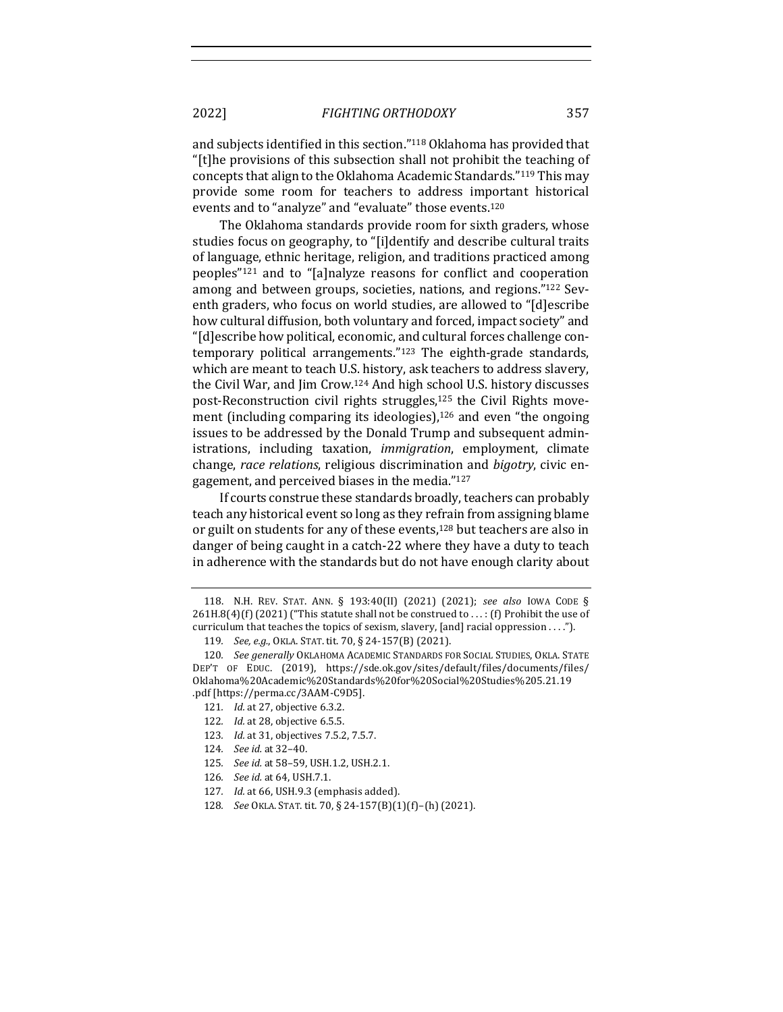and subjects identified in this section."<sup>118</sup> Oklahoma has provided that "[t]he provisions of this subsection shall not prohibit the teaching of concepts that align to the Oklahoma Academic Standards."<sup>119</sup> This may provide some room for teachers to address important historical events and to "analyze" and "evaluate" those events.<sup>120</sup>

The Oklahoma standards provide room for sixth graders, whose studies focus on geography, to "[i]dentify and describe cultural traits of language, ethnic heritage, religion, and traditions practiced among peoples<sup>"121</sup> and to "[a]nalyze reasons for conflict and cooperation among and between groups, societies, nations, and regions."122 Seventh graders, who focus on world studies, are allowed to "[d]escribe how cultural diffusion, both voluntary and forced, impact society" and "[d]escribe how political, economic, and cultural forces challenge contemporary political arrangements." $123$  The eighth-grade standards, which are meant to teach U.S. history, ask teachers to address slavery, the Civil War, and Jim Crow.<sup>124</sup> And high school U.S. history discusses post-Reconstruction civil rights struggles, $125$  the Civil Rights movement (including comparing its ideologies), $126$  and even "the ongoing issues to be addressed by the Donald Trump and subsequent administrations, including taxation, *immigration*, employment, climate change, *race relations*, religious discrimination and *bigotry*, civic engagement, and perceived biases in the media."127

If courts construe these standards broadly, teachers can probably teach any historical event so long as they refrain from assigning blame or guilt on students for any of these events, $128$  but teachers are also in danger of being caught in a catch-22 where they have a duty to teach in adherence with the standards but do not have enough clarity about

- 122. *Id.* at 28, objective 6.5.5.
- 123. *Id.* at 31, objectives 7.5.2, 7.5.7.
- 124*. See id.* at 32–40.
- 125. *See id.* at 58-59, USH.1.2, USH.2.1.
- 126*. See id.* at 64, USH.7.1.
- 127. *Id.* at 66, USH.9.3 (emphasis added).
- 128*. See* OKLA. STAT. tit. 70, § 24-157(B)(1)(f )–(h) (2021).

<sup>118.</sup> N.H. REV. STAT. ANN. § 193:40(II) (2021) (2021); *see also* IOWA CODE §  $261H.8(4)(f)(2021)$  ("This statute shall not be construed to ...: (f) Prohibit the use of curriculum that teaches the topics of sexism, slavery, [and] racial oppression  $\dots$ .").

<sup>119.</sup> *See, e.g.*, OKLA. STAT. tit. 70, § 24-157(B) (2021).

<sup>120.</sup> *See generally* OKLAHOMA ACADEMIC STANDARDS FOR SOCIAL STUDIES, OKLA. STATE DEP'T OF EDUC. (2019), https://sde.ok.gov/sites/default/files/documents/files/ Oklahoma%20Academic%20Standards%20for%20Social%20Studies%205.21.19 .pdf [https://perma.cc/3AAM-C9D5].

<sup>121.</sup> *Id.* at 27, objective 6.3.2.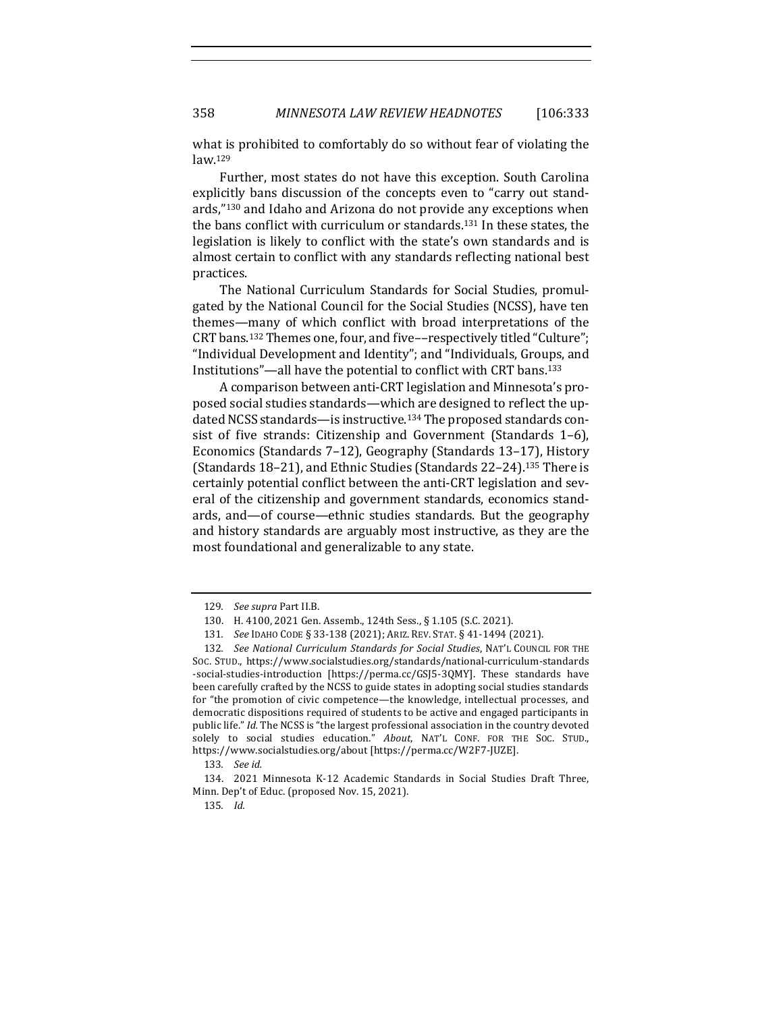what is prohibited to comfortably do so without fear of violating the law.129

Further, most states do not have this exception. South Carolina explicitly bans discussion of the concepts even to "carry out standards,"130 and Idaho and Arizona do not provide any exceptions when the bans conflict with curriculum or standards.<sup>131</sup> In these states, the legislation is likely to conflict with the state's own standards and is almost certain to conflict with any standards reflecting national best practices. 

The National Curriculum Standards for Social Studies, promulgated by the National Council for the Social Studies (NCSS), have ten themes—many of which conflict with broad interpretations of the CRT bans.<sup>132</sup> Themes one, four, and five--respectively titled "Culture"; "Individual Development and Identity"; and "Individuals, Groups, and Institutions"—all have the potential to conflict with CRT bans.<sup>133</sup>

A comparison between anti-CRT legislation and Minnesota's proposed social studies standards—which are designed to reflect the updated NCSS standards—is instructive.<sup>134</sup> The proposed standards consist of five strands: Citizenship and Government (Standards 1-6), Economics (Standards 7-12), Geography (Standards 13-17), History (Standards  $18-21$ ), and Ethnic Studies (Standards  $22-24$ ).<sup>135</sup> There is certainly potential conflict between the anti-CRT legislation and several of the citizenship and government standards, economics standards, and—of course—ethnic studies standards. But the geography and history standards are arguably most instructive, as they are the most foundational and generalizable to any state.

<sup>129.</sup> See supra Part II.B.

<sup>130.</sup> H. 4100, 2021 Gen. Assemb., 124th Sess., § 1.105 (S.C. 2021).

<sup>131</sup>*. See* IDAHO CODE § 33-138 (2021); ARIZ. REV. STAT. § 41-1494 (2021).

<sup>132.</sup> See National Curriculum Standards for Social Studies, NAT'L COUNCIL FOR THE Soc. STUD., https://www.socialstudies.org/standards/national-curriculum-standards -social-studies-introduction [https://perma.cc/GSJ5-3QMY]. These standards have been carefully crafted by the NCSS to guide states in adopting social studies standards for "the promotion of civic competence—the knowledge, intellectual processes, and democratic dispositions required of students to be active and engaged participants in public life." *Id.* The NCSS is "the largest professional association in the country devoted solely to social studies education." About, NAT'L CONF. FOR THE SOC. STUD., https://www.socialstudies.org/about [https://perma.cc/W2F7-JUZE].

<sup>133</sup>*. See id.*

<sup>134. 2021</sup> Minnesota K-12 Academic Standards in Social Studies Draft Three, Minn. Dep't of Educ. (proposed Nov. 15, 2021).

<sup>135</sup>*. Id.*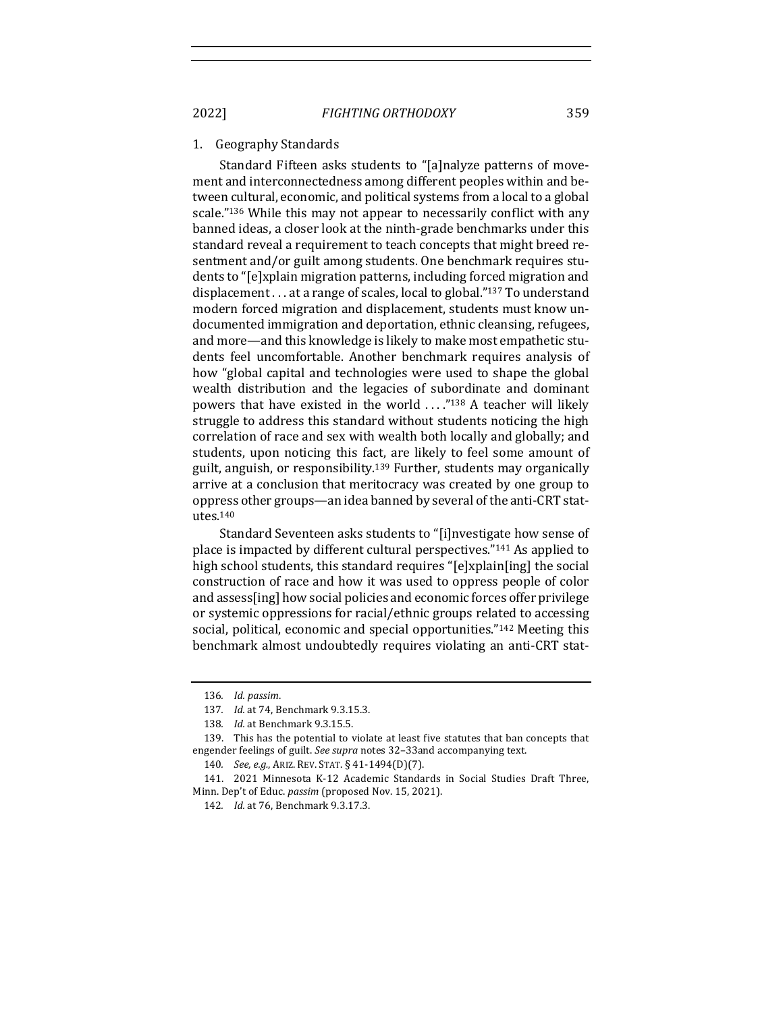#### 1. Geography Standards

Standard Fifteen asks students to "[a]nalyze patterns of movement and interconnectedness among different peoples within and between cultural, economic, and political systems from a local to a global scale."<sup>136</sup> While this may not appear to necessarily conflict with any banned ideas, a closer look at the ninth-grade benchmarks under this standard reveal a requirement to teach concepts that might breed resentment and/or guilt among students. One benchmark requires students to "[e]xplain migration patterns, including forced migration and displacement  $\ldots$  at a range of scales, local to global."<sup>137</sup> To understand modern forced migration and displacement, students must know undocumented immigration and deportation, ethnic cleansing, refugees, and more—and this knowledge is likely to make most empathetic students feel uncomfortable. Another benchmark requires analysis of how "global capital and technologies were used to shape the global wealth distribution and the legacies of subordinate and dominant powers that have existed in the world  $\ldots$ ."<sup>138</sup> A teacher will likely struggle to address this standard without students noticing the high correlation of race and sex with wealth both locally and globally; and students, upon noticing this fact, are likely to feel some amount of guilt, anguish, or responsibility.<sup>139</sup> Further, students may organically arrive at a conclusion that meritocracy was created by one group to oppress other groups—an idea banned by several of the anti-CRT statutes.140

Standard Seventeen asks students to "[i]nvestigate how sense of place is impacted by different cultural perspectives."<sup>141</sup> As applied to high school students, this standard requires " $[e]$ xplain $[ing]$  the social construction of race and how it was used to oppress people of color and assess[ing] how social policies and economic forces offer privilege or systemic oppressions for racial/ethnic groups related to accessing social, political, economic and special opportunities."<sup>142</sup> Meeting this benchmark almost undoubtedly requires violating an anti-CRT stat-

<sup>136</sup>*. Id. passim*. 

<sup>137</sup>*. Id.* at 74, Benchmark 9.3.15.3.

<sup>138.</sup> *Id.* at Benchmark 9.3.15.5.

<sup>139.</sup> This has the potential to violate at least five statutes that ban concepts that engender feelings of guilt. See supra notes 32-33and accompanying text.

<sup>140</sup>*. See, e.g.*, ARIZ. REV. STAT. § 41-1494(D)(7).

<sup>141. 2021</sup> Minnesota K-12 Academic Standards in Social Studies Draft Three, Minn. Dep't of Educ. *passim* (proposed Nov. 15, 2021).

<sup>142.</sup> *Id.* at 76, Benchmark 9.3.17.3.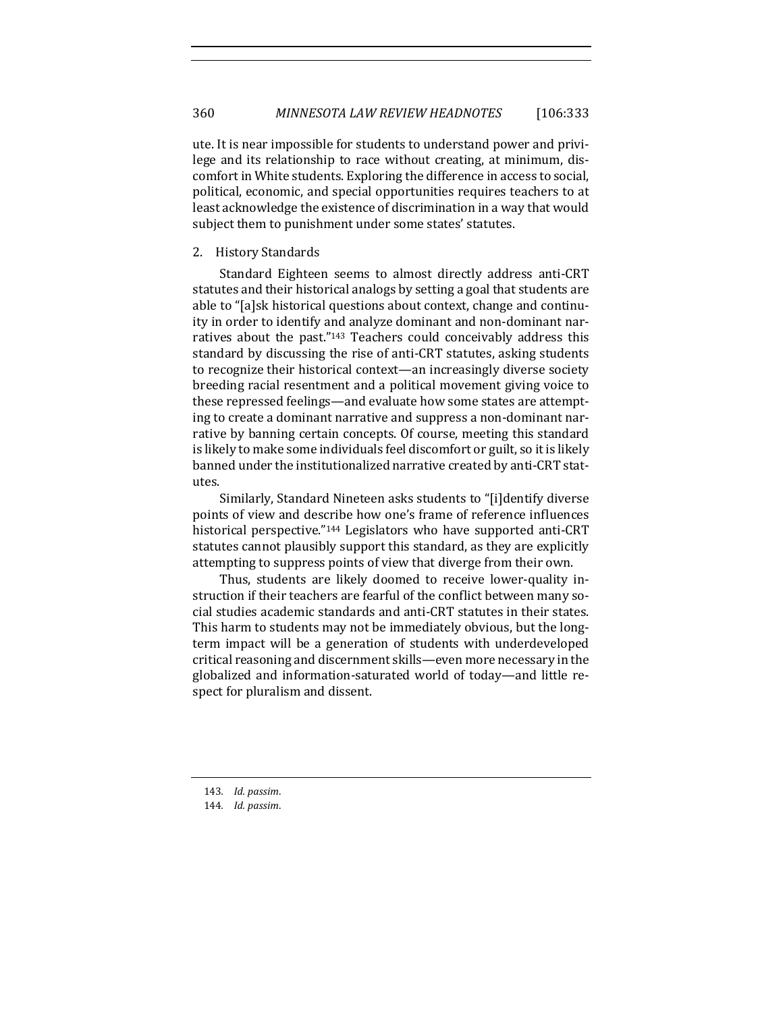ute. It is near impossible for students to understand power and privilege and its relationship to race without creating, at minimum, discomfort in White students. Exploring the difference in access to social, political, economic, and special opportunities requires teachers to at least acknowledge the existence of discrimination in a way that would subject them to punishment under some states' statutes.

#### 2. History Standards

Standard Eighteen seems to almost directly address anti-CRT statutes and their historical analogs by setting a goal that students are able to "[a]sk historical questions about context, change and continuity in order to identify and analyze dominant and non-dominant narratives about the past." $143$  Teachers could conceivably address this standard by discussing the rise of anti-CRT statutes, asking students to recognize their historical context—an increasingly diverse society breeding racial resentment and a political movement giving voice to these repressed feelings—and evaluate how some states are attempting to create a dominant narrative and suppress a non-dominant narrative by banning certain concepts. Of course, meeting this standard is likely to make some individuals feel discomfort or guilt, so it is likely banned under the institutionalized narrative created by anti-CRT statutes.

Similarly, Standard Nineteen asks students to "[i]dentify diverse points of view and describe how one's frame of reference influences historical perspective."<sup>144</sup> Legislators who have supported anti-CRT statutes cannot plausibly support this standard, as they are explicitly attempting to suppress points of view that diverge from their own.

Thus, students are likely doomed to receive lower-quality instruction if their teachers are fearful of the conflict between many social studies academic standards and anti-CRT statutes in their states. This harm to students may not be immediately obvious, but the longterm impact will be a generation of students with underdeveloped critical reasoning and discernment skills—even more necessary in the globalized and information-saturated world of today—and little respect for pluralism and dissent.

<sup>143</sup>*. Id. passim*.

<sup>144</sup>*. Id. passim*.